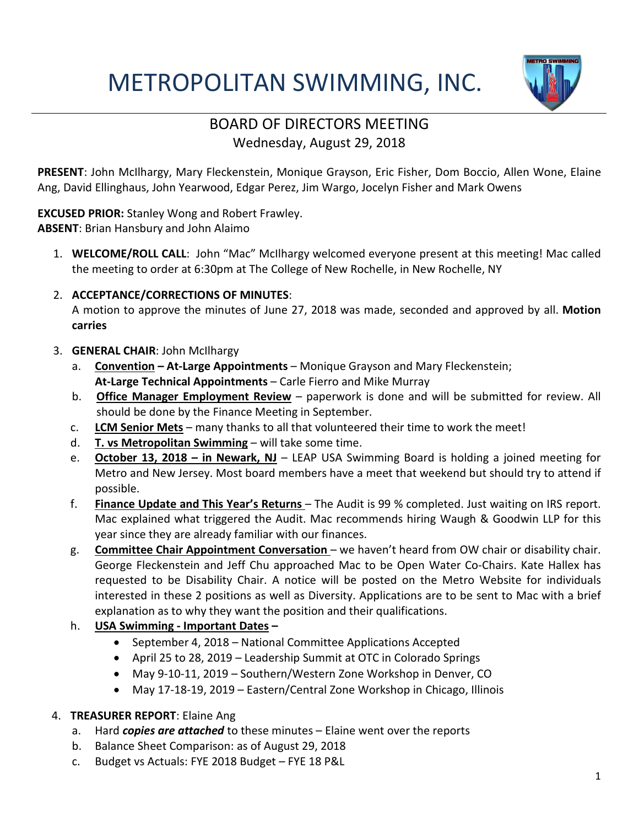# METROPOLITAN SWIMMING, INC.



### BOARD OF DIRECTORS MEETING Wednesday, August 29, 2018

**PRESENT**: John McIlhargy, Mary Fleckenstein, Monique Grayson, Eric Fisher, Dom Boccio, Allen Wone, Elaine Ang, David Ellinghaus, John Yearwood, Edgar Perez, Jim Wargo, Jocelyn Fisher and Mark Owens

**EXCUSED PRIOR:** Stanley Wong and Robert Frawley.

**ABSENT**: Brian Hansbury and John Alaimo

- 1. **WELCOME/ROLL CALL**: John "Mac" McIlhargy welcomed everyone present at this meeting! Mac called the meeting to order at 6:30pm at The College of New Rochelle, in New Rochelle, NY
- 2. **ACCEPTANCE/CORRECTIONS OF MINUTES**:

A motion to approve the minutes of June 27, 2018 was made, seconded and approved by all. **Motion carries**

- 3. **GENERAL CHAIR**: John McIlhargy
	- a. **Convention – At-Large Appointments** Monique Grayson and Mary Fleckenstein; **At-Large Technical Appointments** – Carle Fierro and Mike Murray
	- b. **Office Manager Employment Review** paperwork is done and will be submitted for review. All should be done by the Finance Meeting in September.
	- c. **LCM Senior Mets** many thanks to all that volunteered their time to work the meet!
	- d. **T. vs Metropolitan Swimming** will take some time.
	- e. **October 13, 2018 – in Newark, NJ** LEAP USA Swimming Board is holding a joined meeting for Metro and New Jersey. Most board members have a meet that weekend but should try to attend if possible.
	- f. **Finance Update and This Year's Returns**  The Audit is 99 % completed. Just waiting on IRS report. Mac explained what triggered the Audit. Mac recommends hiring Waugh & Goodwin LLP for this year since they are already familiar with our finances.
	- g. **Committee Chair Appointment Conversation**  we haven't heard from OW chair or disability chair. George Fleckenstein and Jeff Chu approached Mac to be Open Water Co-Chairs. Kate Hallex has requested to be Disability Chair. A notice will be posted on the Metro Website for individuals interested in these 2 positions as well as Diversity. Applications are to be sent to Mac with a brief explanation as to why they want the position and their qualifications.

#### h. **USA Swimming - Important Dates –**

- September 4, 2018 National Committee Applications Accepted
- April 25 to 28, 2019 Leadership Summit at OTC in Colorado Springs
- May 9-10-11, 2019 Southern/Western Zone Workshop in Denver, CO
- May 17-18-19, 2019 Eastern/Central Zone Workshop in Chicago, Illinois

#### 4. **TREASURER REPORT**: Elaine Ang

- a. Hard *copies are attached* to these minutes Elaine went over the reports
- b. Balance Sheet Comparison: as of August 29, 2018
- c. Budget vs Actuals: FYE 2018 Budget FYE 18 P&L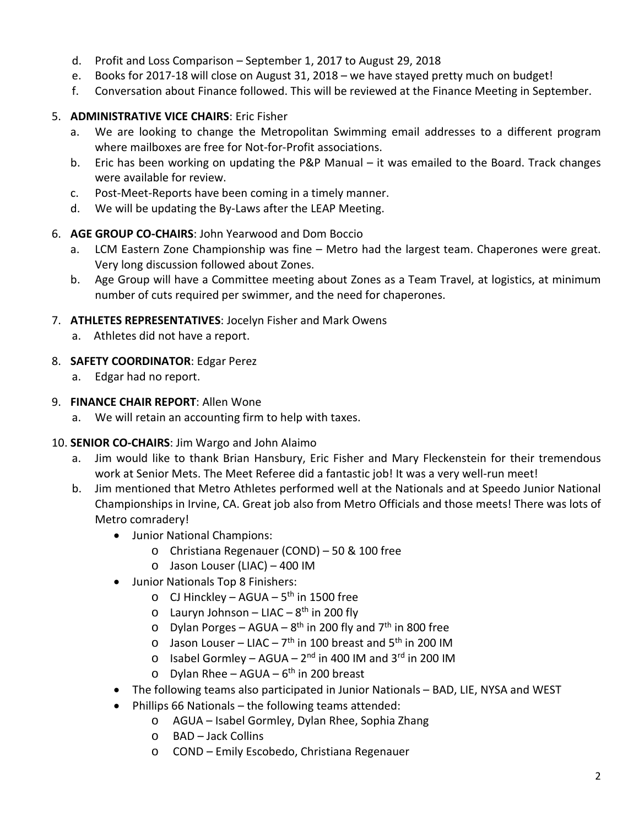- d. Profit and Loss Comparison September 1, 2017 to August 29, 2018
- e. Books for 2017-18 will close on August 31, 2018 we have stayed pretty much on budget!
- f. Conversation about Finance followed. This will be reviewed at the Finance Meeting in September.

#### 5. **ADMINISTRATIVE VICE CHAIRS**: Eric Fisher

- a. We are looking to change the Metropolitan Swimming email addresses to a different program where mailboxes are free for Not-for-Profit associations.
- b. Eric has been working on updating the P&P Manual it was emailed to the Board. Track changes were available for review.
- c. Post-Meet-Reports have been coming in a timely manner.
- d. We will be updating the By-Laws after the LEAP Meeting.

#### 6. **AGE GROUP CO-CHAIRS**: John Yearwood and Dom Boccio

- a. LCM Eastern Zone Championship was fine Metro had the largest team. Chaperones were great. Very long discussion followed about Zones.
- b. Age Group will have a Committee meeting about Zones as a Team Travel, at logistics, at minimum number of cuts required per swimmer, and the need for chaperones.

#### 7. **ATHLETES REPRESENTATIVES**: Jocelyn Fisher and Mark Owens

a. Athletes did not have a report.

#### 8. **SAFETY COORDINATOR**: Edgar Perez

a. Edgar had no report.

#### 9. **FINANCE CHAIR REPORT**: Allen Wone

a. We will retain an accounting firm to help with taxes.

#### 10. **SENIOR CO-CHAIRS**: Jim Wargo and John Alaimo

- a. Jim would like to thank Brian Hansbury, Eric Fisher and Mary Fleckenstein for their tremendous work at Senior Mets. The Meet Referee did a fantastic job! It was a very well-run meet!
- b. Jim mentioned that Metro Athletes performed well at the Nationals and at Speedo Junior National Championships in Irvine, CA. Great job also from Metro Officials and those meets! There was lots of Metro comradery!
	- Junior National Champions:
		- o Christiana Regenauer (COND) 50 & 100 free
		- o Jason Louser (LIAC) 400 IM
	- Junior Nationals Top 8 Finishers:
		- $\circ$  CJ Hinckley AGUA 5<sup>th</sup> in 1500 free
		- $\circ$  Lauryn Johnson LIAC 8<sup>th</sup> in 200 fly
		- o Dylan Porges AGUA  $8^{th}$  in 200 fly and  $7^{th}$  in 800 free
		- $\circ$  Jason Louser LIAC 7<sup>th</sup> in 100 breast and 5<sup>th</sup> in 200 IM
		- $\circ$  Isabel Gormley AGUA 2<sup>nd</sup> in 400 IM and 3<sup>rd</sup> in 200 IM
		- o Dylan Rhee AGUA  $6<sup>th</sup>$  in 200 breast
	- The following teams also participated in Junior Nationals BAD, LIE, NYSA and WEST
	- Phillips 66 Nationals the following teams attended:
		- o AGUA Isabel Gormley, Dylan Rhee, Sophia Zhang
		- o BAD Jack Collins
		- o COND Emily Escobedo, Christiana Regenauer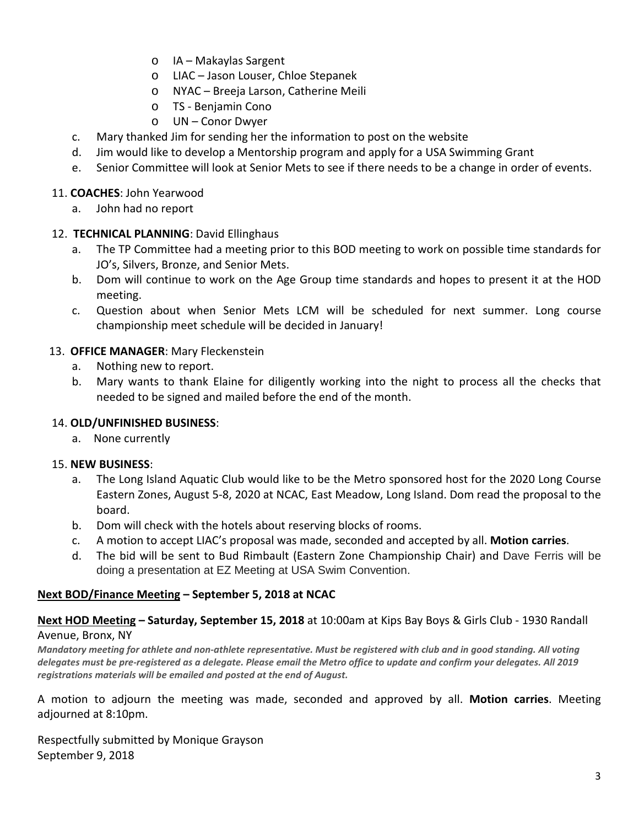- o IA Makaylas Sargent
- o LIAC Jason Louser, Chloe Stepanek
- o NYAC Breeja Larson, Catherine Meili
- o TS Benjamin Cono
- o UN Conor Dwyer
- c. Mary thanked Jim for sending her the information to post on the website
- d. Jim would like to develop a Mentorship program and apply for a USA Swimming Grant
- e. Senior Committee will look at Senior Mets to see if there needs to be a change in order of events.

#### 11. **COACHES**: John Yearwood

a. John had no report

#### 12. **TECHNICAL PLANNING**: David Ellinghaus

- a. The TP Committee had a meeting prior to this BOD meeting to work on possible time standards for JO's, Silvers, Bronze, and Senior Mets.
- b. Dom will continue to work on the Age Group time standards and hopes to present it at the HOD meeting.
- c. Question about when Senior Mets LCM will be scheduled for next summer. Long course championship meet schedule will be decided in January!

#### 13. **OFFICE MANAGER**: Mary Fleckenstein

- a. Nothing new to report.
- b. Mary wants to thank Elaine for diligently working into the night to process all the checks that needed to be signed and mailed before the end of the month.

#### 14. **OLD/UNFINISHED BUSINESS**:

a. None currently

#### 15. **NEW BUSINESS**:

- a. The Long Island Aquatic Club would like to be the Metro sponsored host for the 2020 Long Course Eastern Zones, August 5-8, 2020 at NCAC, East Meadow, Long Island. Dom read the proposal to the board.
- b. Dom will check with the hotels about reserving blocks of rooms.
- c. A motion to accept LIAC's proposal was made, seconded and accepted by all. **Motion carries**.
- d. The bid will be sent to Bud Rimbault (Eastern Zone Championship Chair) and Dave Ferris will be doing a presentation at EZ Meeting at USA Swim Convention.

#### **Next BOD/Finance Meeting – September 5, 2018 at NCAC**

#### **Next HOD Meeting – Saturday, September 15, 2018** at 10:00am at Kips Bay Boys & Girls Club - 1930 Randall Avenue, Bronx, NY

*Mandatory meeting for athlete and non-athlete representative. Must be registered with club and in good standing. All voting delegates must be pre-registered as a delegate. Please email the Metro office to update and confirm your delegates. All 2019 registrations materials will be emailed and posted at the end of August.*

A motion to adjourn the meeting was made, seconded and approved by all. **Motion carries**. Meeting adjourned at 8:10pm.

Respectfully submitted by Monique Grayson September 9, 2018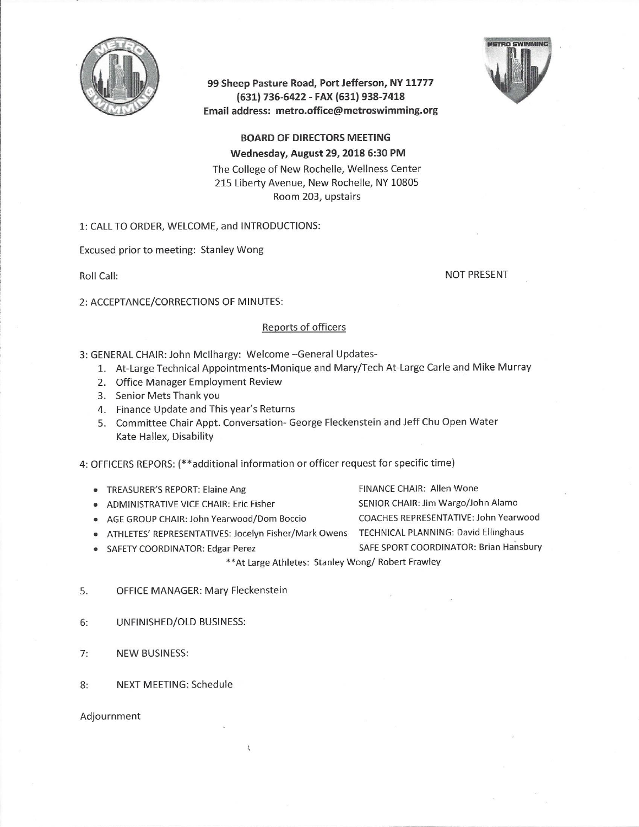

99 Sheep Pasture Road, Port Jefferson, NY 11777 (631) 736-6422 - FAX (631) 938-7418 Email address: metro.office@metroswimming.org



**BOARD OF DIRECTORS MEETING** Wednesday, August 29, 2018 6:30 PM The College of New Rochelle, Wellness Center 215 Liberty Avenue, New Rochelle, NY 10805 Room 203, upstairs

#### 1: CALL TO ORDER, WELCOME, and INTRODUCTIONS:

Excused prior to meeting: Stanley Wong

Roll Call:

**NOT PRESENT** 

2: ACCEPTANCE/CORRECTIONS OF MINUTES:

#### Reports of officers

3: GENERAL CHAIR: John McIlhargy: Welcome -General Updates-

- 1. At-Large Technical Appointments-Monique and Mary/Tech At-Large Carle and Mike Murray
- 2. Office Manager Employment Review
- 3. Senior Mets Thank you
- 4. Finance Update and This year's Returns
- 5. Committee Chair Appt. Conversation- George Fleckenstein and Jeff Chu Open Water Kate Hallex, Disability

4: OFFICERS REPORS: (\*\*additional information or officer request for specific time)

- TREASURER'S REPORT: Elaine Ang
- ADMINISTRATIVE VICE CHAIR: Eric Fisher
- AGE GROUP CHAIR: John Yearwood/Dom Boccio
- · ATHLETES' REPRESENTATIVES: Jocelyn Fisher/Mark Owens TECHNICAL PLANNING: David Ellinghaus
- SAFETY COORDINATOR: Edgar Perez

FINANCE CHAIR: Allen Wone SENIOR CHAIR: Jim Wargo/John Alamo COACHES REPRESENTATIVE: John Yearwood SAFE SPORT COORDINATOR: Brian Hansbury

\*\* At Large Athletes: Stanley Wong/ Robert Frawley

- 5. **OFFICE MANAGER: Mary Fleckenstein**
- UNFINISHED/OLD BUSINESS:  $6:$
- $7:$ **NEW BUSINESS:**
- $8:$ **NEXT MEETING: Schedule**

Adjournment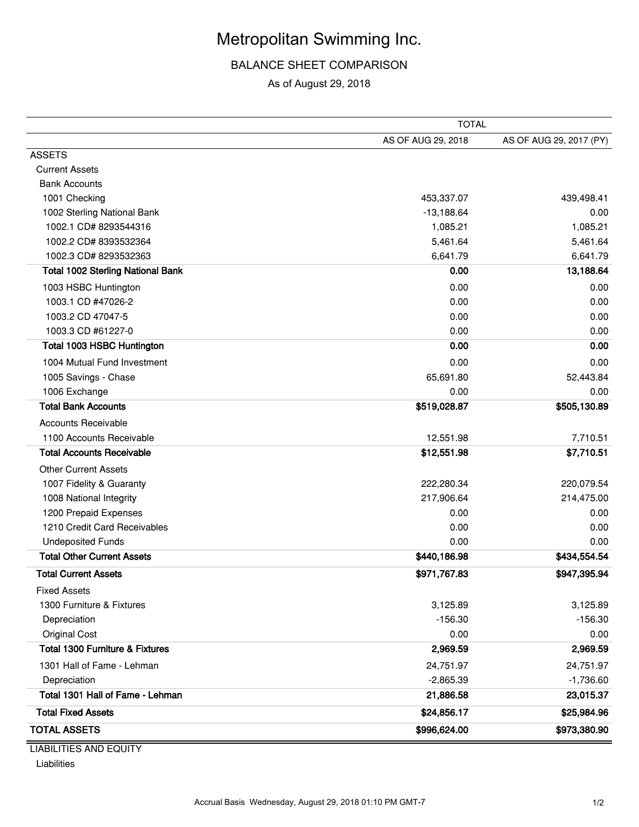## Metropolitan Swimming Inc.

BALANCE SHEET COMPARISON

As of August 29, 2018

| AS OF AUG 29, 2018<br>AS OF AUG 29, 2017 (PY)<br><b>ASSETS</b><br><b>Current Assets</b><br><b>Bank Accounts</b><br>1001 Checking<br>453,337.07<br>439,498.41<br>1002 Sterling National Bank<br>$-13,188.64$<br>0.00<br>1,085.21<br>1002.1 CD# 8293544316<br>1,085.21<br>5,461.64<br>1002.2 CD# 8393532364<br>5,461.64<br>1002.3 CD# 8293532363<br>6,641.79<br>6,641.79<br><b>Total 1002 Sterling National Bank</b><br>13,188.64<br>0.00<br>0.00<br>0.00<br>1003 HSBC Huntington<br>1003.1 CD #47026-2<br>0.00<br>0.00<br>1003.2 CD 47047-5<br>0.00<br>0.00<br>1003.3 CD #61227-0<br>0.00<br>0.00<br><b>Total 1003 HSBC Huntington</b><br>0.00<br>0.00<br>1004 Mutual Fund Investment<br>0.00<br>0.00<br>52,443.84<br>1005 Savings - Chase<br>65,691.80<br>1006 Exchange<br>0.00<br>0.00<br><b>Total Bank Accounts</b><br>\$519,028.87<br>\$505,130.89<br><b>Accounts Receivable</b><br>1100 Accounts Receivable<br>12,551.98<br>7,710.51<br><b>Total Accounts Receivable</b><br>\$7,710.51<br>\$12,551.98<br><b>Other Current Assets</b><br>1007 Fidelity & Guaranty<br>222,280.34<br>220,079.54<br>214,475.00<br>1008 National Integrity<br>217,906.64<br>1200 Prepaid Expenses<br>0.00<br>0.00<br>1210 Credit Card Receivables<br>0.00<br>0.00<br><b>Undeposited Funds</b><br>0.00<br>0.00<br><b>Total Other Current Assets</b><br>\$434,554.54<br>\$440,186.98<br><b>Total Current Assets</b><br>\$947,395.94<br>\$971,767.83<br><b>Fixed Assets</b><br>1300 Furniture & Fixtures<br>3,125.89<br>3,125.89<br>Depreciation<br>$-156.30$<br>$-156.30$<br><b>Original Cost</b><br>0.00<br>0.00<br><b>Total 1300 Furniture &amp; Fixtures</b><br>2,969.59<br>2,969.59<br>1301 Hall of Fame - Lehman<br>24,751.97<br>24,751.97<br>Depreciation<br>$-1,736.60$<br>$-2,865.39$<br>Total 1301 Hall of Fame - Lehman<br>21,886.58<br>23,015.37<br><b>Total Fixed Assets</b><br>\$24,856.17<br>\$25,984.96<br><b>TOTAL ASSETS</b><br>\$996,624.00<br>\$973,380.90 | <b>TOTAL</b> |  |  |
|------------------------------------------------------------------------------------------------------------------------------------------------------------------------------------------------------------------------------------------------------------------------------------------------------------------------------------------------------------------------------------------------------------------------------------------------------------------------------------------------------------------------------------------------------------------------------------------------------------------------------------------------------------------------------------------------------------------------------------------------------------------------------------------------------------------------------------------------------------------------------------------------------------------------------------------------------------------------------------------------------------------------------------------------------------------------------------------------------------------------------------------------------------------------------------------------------------------------------------------------------------------------------------------------------------------------------------------------------------------------------------------------------------------------------------------------------------------------------------------------------------------------------------------------------------------------------------------------------------------------------------------------------------------------------------------------------------------------------------------------------------------------------------------------------------------------------------------------------------------------------------------------------------------------------------------------------------|--------------|--|--|
|                                                                                                                                                                                                                                                                                                                                                                                                                                                                                                                                                                                                                                                                                                                                                                                                                                                                                                                                                                                                                                                                                                                                                                                                                                                                                                                                                                                                                                                                                                                                                                                                                                                                                                                                                                                                                                                                                                                                                            |              |  |  |
|                                                                                                                                                                                                                                                                                                                                                                                                                                                                                                                                                                                                                                                                                                                                                                                                                                                                                                                                                                                                                                                                                                                                                                                                                                                                                                                                                                                                                                                                                                                                                                                                                                                                                                                                                                                                                                                                                                                                                            |              |  |  |
|                                                                                                                                                                                                                                                                                                                                                                                                                                                                                                                                                                                                                                                                                                                                                                                                                                                                                                                                                                                                                                                                                                                                                                                                                                                                                                                                                                                                                                                                                                                                                                                                                                                                                                                                                                                                                                                                                                                                                            |              |  |  |
|                                                                                                                                                                                                                                                                                                                                                                                                                                                                                                                                                                                                                                                                                                                                                                                                                                                                                                                                                                                                                                                                                                                                                                                                                                                                                                                                                                                                                                                                                                                                                                                                                                                                                                                                                                                                                                                                                                                                                            |              |  |  |
|                                                                                                                                                                                                                                                                                                                                                                                                                                                                                                                                                                                                                                                                                                                                                                                                                                                                                                                                                                                                                                                                                                                                                                                                                                                                                                                                                                                                                                                                                                                                                                                                                                                                                                                                                                                                                                                                                                                                                            |              |  |  |
|                                                                                                                                                                                                                                                                                                                                                                                                                                                                                                                                                                                                                                                                                                                                                                                                                                                                                                                                                                                                                                                                                                                                                                                                                                                                                                                                                                                                                                                                                                                                                                                                                                                                                                                                                                                                                                                                                                                                                            |              |  |  |
|                                                                                                                                                                                                                                                                                                                                                                                                                                                                                                                                                                                                                                                                                                                                                                                                                                                                                                                                                                                                                                                                                                                                                                                                                                                                                                                                                                                                                                                                                                                                                                                                                                                                                                                                                                                                                                                                                                                                                            |              |  |  |
|                                                                                                                                                                                                                                                                                                                                                                                                                                                                                                                                                                                                                                                                                                                                                                                                                                                                                                                                                                                                                                                                                                                                                                                                                                                                                                                                                                                                                                                                                                                                                                                                                                                                                                                                                                                                                                                                                                                                                            |              |  |  |
|                                                                                                                                                                                                                                                                                                                                                                                                                                                                                                                                                                                                                                                                                                                                                                                                                                                                                                                                                                                                                                                                                                                                                                                                                                                                                                                                                                                                                                                                                                                                                                                                                                                                                                                                                                                                                                                                                                                                                            |              |  |  |
|                                                                                                                                                                                                                                                                                                                                                                                                                                                                                                                                                                                                                                                                                                                                                                                                                                                                                                                                                                                                                                                                                                                                                                                                                                                                                                                                                                                                                                                                                                                                                                                                                                                                                                                                                                                                                                                                                                                                                            |              |  |  |
|                                                                                                                                                                                                                                                                                                                                                                                                                                                                                                                                                                                                                                                                                                                                                                                                                                                                                                                                                                                                                                                                                                                                                                                                                                                                                                                                                                                                                                                                                                                                                                                                                                                                                                                                                                                                                                                                                                                                                            |              |  |  |
|                                                                                                                                                                                                                                                                                                                                                                                                                                                                                                                                                                                                                                                                                                                                                                                                                                                                                                                                                                                                                                                                                                                                                                                                                                                                                                                                                                                                                                                                                                                                                                                                                                                                                                                                                                                                                                                                                                                                                            |              |  |  |
|                                                                                                                                                                                                                                                                                                                                                                                                                                                                                                                                                                                                                                                                                                                                                                                                                                                                                                                                                                                                                                                                                                                                                                                                                                                                                                                                                                                                                                                                                                                                                                                                                                                                                                                                                                                                                                                                                                                                                            |              |  |  |
|                                                                                                                                                                                                                                                                                                                                                                                                                                                                                                                                                                                                                                                                                                                                                                                                                                                                                                                                                                                                                                                                                                                                                                                                                                                                                                                                                                                                                                                                                                                                                                                                                                                                                                                                                                                                                                                                                                                                                            |              |  |  |
|                                                                                                                                                                                                                                                                                                                                                                                                                                                                                                                                                                                                                                                                                                                                                                                                                                                                                                                                                                                                                                                                                                                                                                                                                                                                                                                                                                                                                                                                                                                                                                                                                                                                                                                                                                                                                                                                                                                                                            |              |  |  |
|                                                                                                                                                                                                                                                                                                                                                                                                                                                                                                                                                                                                                                                                                                                                                                                                                                                                                                                                                                                                                                                                                                                                                                                                                                                                                                                                                                                                                                                                                                                                                                                                                                                                                                                                                                                                                                                                                                                                                            |              |  |  |
|                                                                                                                                                                                                                                                                                                                                                                                                                                                                                                                                                                                                                                                                                                                                                                                                                                                                                                                                                                                                                                                                                                                                                                                                                                                                                                                                                                                                                                                                                                                                                                                                                                                                                                                                                                                                                                                                                                                                                            |              |  |  |
|                                                                                                                                                                                                                                                                                                                                                                                                                                                                                                                                                                                                                                                                                                                                                                                                                                                                                                                                                                                                                                                                                                                                                                                                                                                                                                                                                                                                                                                                                                                                                                                                                                                                                                                                                                                                                                                                                                                                                            |              |  |  |
|                                                                                                                                                                                                                                                                                                                                                                                                                                                                                                                                                                                                                                                                                                                                                                                                                                                                                                                                                                                                                                                                                                                                                                                                                                                                                                                                                                                                                                                                                                                                                                                                                                                                                                                                                                                                                                                                                                                                                            |              |  |  |
|                                                                                                                                                                                                                                                                                                                                                                                                                                                                                                                                                                                                                                                                                                                                                                                                                                                                                                                                                                                                                                                                                                                                                                                                                                                                                                                                                                                                                                                                                                                                                                                                                                                                                                                                                                                                                                                                                                                                                            |              |  |  |
|                                                                                                                                                                                                                                                                                                                                                                                                                                                                                                                                                                                                                                                                                                                                                                                                                                                                                                                                                                                                                                                                                                                                                                                                                                                                                                                                                                                                                                                                                                                                                                                                                                                                                                                                                                                                                                                                                                                                                            |              |  |  |
|                                                                                                                                                                                                                                                                                                                                                                                                                                                                                                                                                                                                                                                                                                                                                                                                                                                                                                                                                                                                                                                                                                                                                                                                                                                                                                                                                                                                                                                                                                                                                                                                                                                                                                                                                                                                                                                                                                                                                            |              |  |  |
|                                                                                                                                                                                                                                                                                                                                                                                                                                                                                                                                                                                                                                                                                                                                                                                                                                                                                                                                                                                                                                                                                                                                                                                                                                                                                                                                                                                                                                                                                                                                                                                                                                                                                                                                                                                                                                                                                                                                                            |              |  |  |
|                                                                                                                                                                                                                                                                                                                                                                                                                                                                                                                                                                                                                                                                                                                                                                                                                                                                                                                                                                                                                                                                                                                                                                                                                                                                                                                                                                                                                                                                                                                                                                                                                                                                                                                                                                                                                                                                                                                                                            |              |  |  |
|                                                                                                                                                                                                                                                                                                                                                                                                                                                                                                                                                                                                                                                                                                                                                                                                                                                                                                                                                                                                                                                                                                                                                                                                                                                                                                                                                                                                                                                                                                                                                                                                                                                                                                                                                                                                                                                                                                                                                            |              |  |  |
|                                                                                                                                                                                                                                                                                                                                                                                                                                                                                                                                                                                                                                                                                                                                                                                                                                                                                                                                                                                                                                                                                                                                                                                                                                                                                                                                                                                                                                                                                                                                                                                                                                                                                                                                                                                                                                                                                                                                                            |              |  |  |
|                                                                                                                                                                                                                                                                                                                                                                                                                                                                                                                                                                                                                                                                                                                                                                                                                                                                                                                                                                                                                                                                                                                                                                                                                                                                                                                                                                                                                                                                                                                                                                                                                                                                                                                                                                                                                                                                                                                                                            |              |  |  |
|                                                                                                                                                                                                                                                                                                                                                                                                                                                                                                                                                                                                                                                                                                                                                                                                                                                                                                                                                                                                                                                                                                                                                                                                                                                                                                                                                                                                                                                                                                                                                                                                                                                                                                                                                                                                                                                                                                                                                            |              |  |  |
|                                                                                                                                                                                                                                                                                                                                                                                                                                                                                                                                                                                                                                                                                                                                                                                                                                                                                                                                                                                                                                                                                                                                                                                                                                                                                                                                                                                                                                                                                                                                                                                                                                                                                                                                                                                                                                                                                                                                                            |              |  |  |
|                                                                                                                                                                                                                                                                                                                                                                                                                                                                                                                                                                                                                                                                                                                                                                                                                                                                                                                                                                                                                                                                                                                                                                                                                                                                                                                                                                                                                                                                                                                                                                                                                                                                                                                                                                                                                                                                                                                                                            |              |  |  |
|                                                                                                                                                                                                                                                                                                                                                                                                                                                                                                                                                                                                                                                                                                                                                                                                                                                                                                                                                                                                                                                                                                                                                                                                                                                                                                                                                                                                                                                                                                                                                                                                                                                                                                                                                                                                                                                                                                                                                            |              |  |  |
|                                                                                                                                                                                                                                                                                                                                                                                                                                                                                                                                                                                                                                                                                                                                                                                                                                                                                                                                                                                                                                                                                                                                                                                                                                                                                                                                                                                                                                                                                                                                                                                                                                                                                                                                                                                                                                                                                                                                                            |              |  |  |
|                                                                                                                                                                                                                                                                                                                                                                                                                                                                                                                                                                                                                                                                                                                                                                                                                                                                                                                                                                                                                                                                                                                                                                                                                                                                                                                                                                                                                                                                                                                                                                                                                                                                                                                                                                                                                                                                                                                                                            |              |  |  |
|                                                                                                                                                                                                                                                                                                                                                                                                                                                                                                                                                                                                                                                                                                                                                                                                                                                                                                                                                                                                                                                                                                                                                                                                                                                                                                                                                                                                                                                                                                                                                                                                                                                                                                                                                                                                                                                                                                                                                            |              |  |  |
|                                                                                                                                                                                                                                                                                                                                                                                                                                                                                                                                                                                                                                                                                                                                                                                                                                                                                                                                                                                                                                                                                                                                                                                                                                                                                                                                                                                                                                                                                                                                                                                                                                                                                                                                                                                                                                                                                                                                                            |              |  |  |
|                                                                                                                                                                                                                                                                                                                                                                                                                                                                                                                                                                                                                                                                                                                                                                                                                                                                                                                                                                                                                                                                                                                                                                                                                                                                                                                                                                                                                                                                                                                                                                                                                                                                                                                                                                                                                                                                                                                                                            |              |  |  |
|                                                                                                                                                                                                                                                                                                                                                                                                                                                                                                                                                                                                                                                                                                                                                                                                                                                                                                                                                                                                                                                                                                                                                                                                                                                                                                                                                                                                                                                                                                                                                                                                                                                                                                                                                                                                                                                                                                                                                            |              |  |  |
|                                                                                                                                                                                                                                                                                                                                                                                                                                                                                                                                                                                                                                                                                                                                                                                                                                                                                                                                                                                                                                                                                                                                                                                                                                                                                                                                                                                                                                                                                                                                                                                                                                                                                                                                                                                                                                                                                                                                                            |              |  |  |
|                                                                                                                                                                                                                                                                                                                                                                                                                                                                                                                                                                                                                                                                                                                                                                                                                                                                                                                                                                                                                                                                                                                                                                                                                                                                                                                                                                                                                                                                                                                                                                                                                                                                                                                                                                                                                                                                                                                                                            |              |  |  |
|                                                                                                                                                                                                                                                                                                                                                                                                                                                                                                                                                                                                                                                                                                                                                                                                                                                                                                                                                                                                                                                                                                                                                                                                                                                                                                                                                                                                                                                                                                                                                                                                                                                                                                                                                                                                                                                                                                                                                            |              |  |  |

LIABILITIES AND EQUITY Liabilities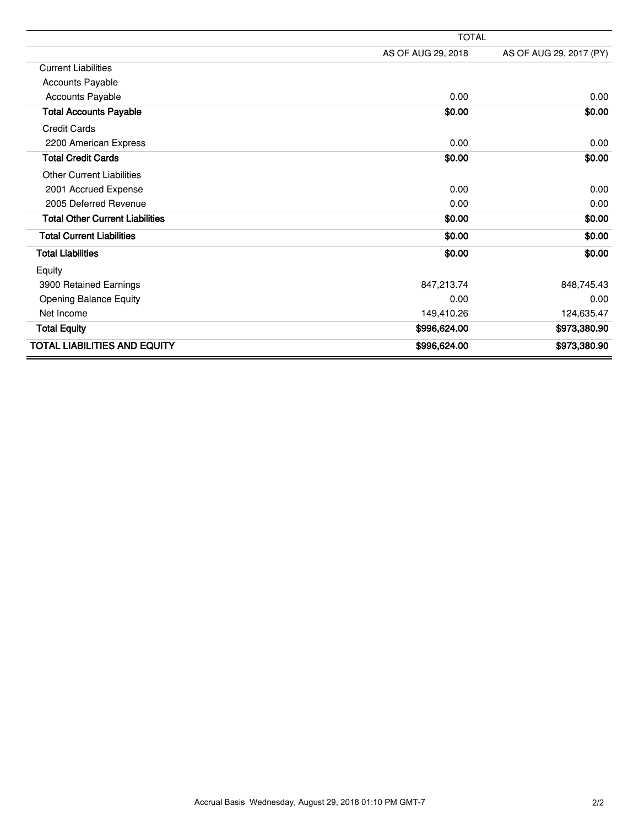|                                        | <b>TOTAL</b>       |                         |  |
|----------------------------------------|--------------------|-------------------------|--|
|                                        | AS OF AUG 29, 2018 | AS OF AUG 29, 2017 (PY) |  |
| <b>Current Liabilities</b>             |                    |                         |  |
| Accounts Payable                       |                    |                         |  |
| <b>Accounts Payable</b>                | 0.00               | 0.00                    |  |
| <b>Total Accounts Payable</b>          | \$0.00             | \$0.00                  |  |
| <b>Credit Cards</b>                    |                    |                         |  |
| 2200 American Express                  | 0.00               | 0.00                    |  |
| <b>Total Credit Cards</b>              | \$0.00             | \$0.00                  |  |
| <b>Other Current Liabilities</b>       |                    |                         |  |
| 2001 Accrued Expense                   | 0.00               | 0.00                    |  |
| 2005 Deferred Revenue                  | 0.00               | 0.00                    |  |
| <b>Total Other Current Liabilities</b> | \$0.00             | \$0.00                  |  |
| <b>Total Current Liabilities</b>       | \$0.00             | \$0.00                  |  |
| <b>Total Liabilities</b>               | \$0.00             | \$0.00                  |  |
| Equity                                 |                    |                         |  |
| 3900 Retained Earnings                 | 847,213.74         | 848,745.43              |  |
| <b>Opening Balance Equity</b>          | 0.00               | 0.00                    |  |
| Net Income                             | 149,410.26         | 124,635.47              |  |
| <b>Total Equity</b>                    | \$996,624.00       | \$973,380.90            |  |
| <b>TOTAL LIABILITIES AND EQUITY</b>    | \$996,624.00       | \$973,380.90            |  |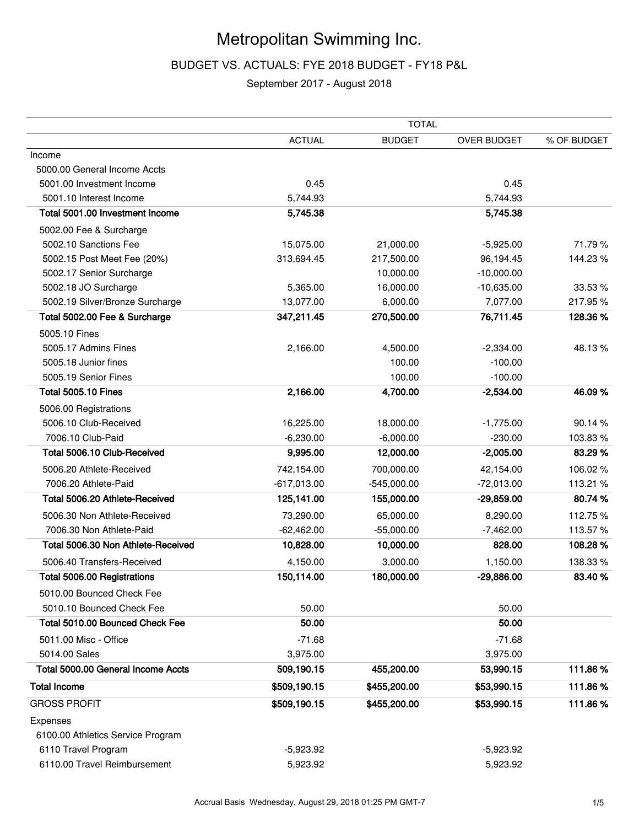### Metropolitan Swimming Inc.

#### BUDGET VS. ACTUALS: FYE 2018 BUDGET - FY18 P&L

#### September 2017 - August 2018

|                                    |               | <b>TOTAL</b>  |                    |             |
|------------------------------------|---------------|---------------|--------------------|-------------|
|                                    | <b>ACTUAL</b> | <b>BUDGET</b> | <b>OVER BUDGET</b> | % OF BUDGET |
| Income                             |               |               |                    |             |
| 5000.00 General Income Accts       |               |               |                    |             |
| 5001.00 Investment Income          | 0.45          |               | 0.45               |             |
| 5001.10 Interest Income            | 5,744.93      |               | 5,744.93           |             |
| Total 5001.00 Investment Income    | 5,745.38      |               | 5,745.38           |             |
| 5002.00 Fee & Surcharge            |               |               |                    |             |
| 5002.10 Sanctions Fee              | 15,075.00     | 21,000.00     | $-5,925.00$        | 71.79%      |
| 5002.15 Post Meet Fee (20%)        | 313,694.45    | 217,500.00    | 96,194.45          | 144.23%     |
| 5002.17 Senior Surcharge           |               | 10,000.00     | $-10,000.00$       |             |
| 5002.18 JO Surcharge               | 5,365.00      | 16,000.00     | $-10,635.00$       | 33.53 %     |
| 5002.19 Silver/Bronze Surcharge    | 13,077.00     | 6,000.00      | 7,077.00           | 217.95%     |
| Total 5002.00 Fee & Surcharge      | 347,211.45    | 270,500.00    | 76,711.45          | 128.36%     |
| 5005.10 Fines                      |               |               |                    |             |
| 5005.17 Admins Fines               | 2,166.00      | 4,500.00      | $-2,334.00$        | 48.13%      |
| 5005.18 Junior fines               |               | 100.00        | $-100.00$          |             |
| 5005.19 Senior Fines               |               | 100.00        | $-100.00$          |             |
| <b>Total 5005.10 Fines</b>         | 2,166.00      | 4,700.00      | $-2,534.00$        | 46.09%      |
| 5006.00 Registrations              |               |               |                    |             |
| 5006.10 Club-Received              | 16,225.00     | 18,000.00     | $-1,775.00$        | 90.14 %     |
| 7006.10 Club-Paid                  | $-6,230.00$   | $-6,000.00$   | $-230.00$          | 103.83%     |
| Total 5006.10 Club-Received        | 9,995.00      | 12,000.00     | $-2,005.00$        | 83.29 %     |
| 5006.20 Athlete-Received           | 742,154.00    | 700,000.00    | 42,154.00          | 106.02%     |
| 7006.20 Athlete-Paid               | $-617,013.00$ | $-545,000.00$ | $-72,013.00$       | 113.21 %    |
| Total 5006.20 Athlete-Received     | 125,141.00    | 155,000.00    | $-29,859.00$       | 80.74 %     |
| 5006.30 Non Athlete-Received       | 73,290.00     | 65,000.00     | 8,290.00           | 112.75%     |
| 7006.30 Non Athlete-Paid           | $-62,462.00$  | $-55,000.00$  | $-7,462.00$        | 113.57%     |
| Total 5006.30 Non Athlete-Received | 10,828.00     | 10,000.00     | 828.00             | 108.28%     |
| 5006.40 Transfers-Received         | 4,150.00      | 3,000.00      | 1,150.00           | 138.33 %    |
| Total 5006.00 Registrations        | 150,114.00    | 180,000.00    | $-29,886.00$       | 83.40%      |
| 5010.00 Bounced Check Fee          |               |               |                    |             |
| 5010.10 Bounced Check Fee          | 50.00         |               | 50.00              |             |
| Total 5010.00 Bounced Check Fee    | 50.00         |               | 50.00              |             |
| 5011.00 Misc - Office              | $-71.68$      |               | $-71.68$           |             |
| 5014.00 Sales                      | 3,975.00      |               | 3,975.00           |             |
| Total 5000.00 General Income Accts | 509,190.15    | 455,200.00    | 53,990.15          | 111.86%     |
| <b>Total Income</b>                | \$509,190.15  | \$455,200.00  | \$53,990.15        | 111.86%     |
| <b>GROSS PROFIT</b>                | \$509,190.15  | \$455,200.00  | \$53,990.15        | 111.86%     |
| Expenses                           |               |               |                    |             |
| 6100.00 Athletics Service Program  |               |               |                    |             |
| 6110 Travel Program                | $-5,923.92$   |               | $-5,923.92$        |             |
| 6110.00 Travel Reimbursement       | 5,923.92      |               | 5,923.92           |             |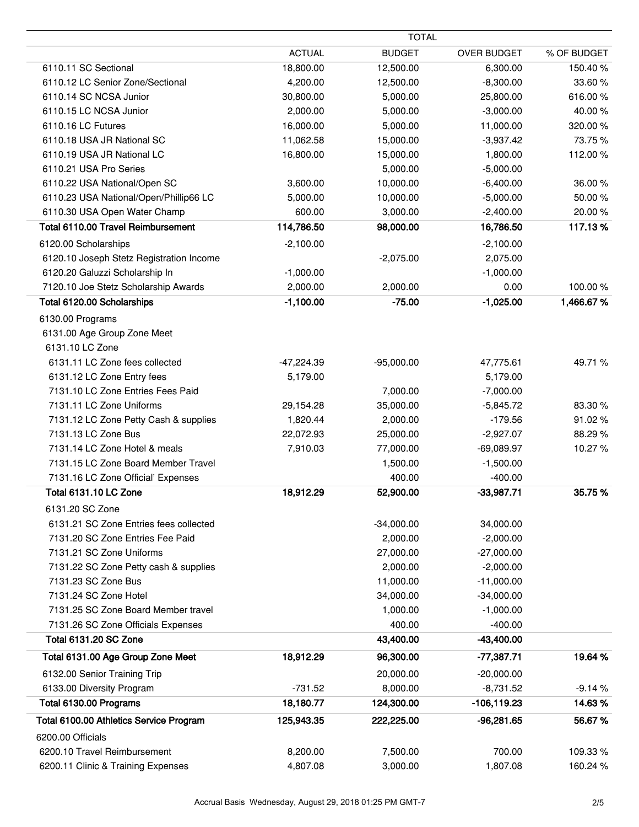|                                          | <b>TOTAL</b>  |               |                    |             |
|------------------------------------------|---------------|---------------|--------------------|-------------|
|                                          | <b>ACTUAL</b> | <b>BUDGET</b> | <b>OVER BUDGET</b> | % OF BUDGET |
| 6110.11 SC Sectional                     | 18,800.00     | 12,500.00     | 6,300.00           | 150.40%     |
| 6110.12 LC Senior Zone/Sectional         | 4,200.00      | 12,500.00     | $-8,300.00$        | 33.60%      |
| 6110.14 SC NCSA Junior                   | 30,800.00     | 5,000.00      | 25,800.00          | 616.00%     |
| 6110.15 LC NCSA Junior                   | 2,000.00      | 5,000.00      | $-3,000.00$        | 40.00%      |
| 6110.16 LC Futures                       | 16,000.00     | 5,000.00      | 11,000.00          | 320.00%     |
| 6110.18 USA JR National SC               | 11,062.58     | 15,000.00     | $-3,937.42$        | 73.75%      |
| 6110.19 USA JR National LC               | 16,800.00     | 15,000.00     | 1,800.00           | 112.00%     |
| 6110.21 USA Pro Series                   |               | 5,000.00      | $-5,000.00$        |             |
| 6110.22 USA National/Open SC             | 3,600.00      | 10,000.00     | $-6,400.00$        | 36.00%      |
| 6110.23 USA National/Open/Phillip66 LC   | 5,000.00      | 10,000.00     | $-5,000.00$        | 50.00%      |
| 6110.30 USA Open Water Champ             | 600.00        | 3,000.00      | $-2,400.00$        | 20.00%      |
| Total 6110.00 Travel Reimbursement       | 114,786.50    | 98,000.00     | 16,786.50          | 117.13%     |
| 6120.00 Scholarships                     | $-2,100.00$   |               | $-2,100.00$        |             |
| 6120.10 Joseph Stetz Registration Income |               | $-2,075.00$   | 2,075.00           |             |
| 6120.20 Galuzzi Scholarship In           | $-1,000.00$   |               | $-1,000.00$        |             |
| 7120.10 Joe Stetz Scholarship Awards     | 2,000.00      | 2,000.00      | 0.00               | 100.00%     |
| Total 6120.00 Scholarships               | $-1,100.00$   | $-75.00$      | $-1,025.00$        | 1,466.67%   |
| 6130.00 Programs                         |               |               |                    |             |
| 6131.00 Age Group Zone Meet              |               |               |                    |             |
| 6131.10 LC Zone                          |               |               |                    |             |
| 6131.11 LC Zone fees collected           | $-47,224.39$  | $-95,000.00$  | 47,775.61          | 49.71 %     |
| 6131.12 LC Zone Entry fees               | 5,179.00      |               | 5,179.00           |             |
| 7131.10 LC Zone Entries Fees Paid        |               | 7,000.00      | $-7,000.00$        |             |
| 7131.11 LC Zone Uniforms                 | 29,154.28     | 35,000.00     | $-5,845.72$        | 83.30 %     |
| 7131.12 LC Zone Petty Cash & supplies    | 1,820.44      | 2,000.00      | $-179.56$          | 91.02%      |
| 7131.13 LC Zone Bus                      | 22,072.93     | 25,000.00     | $-2,927.07$        | 88.29%      |
| 7131.14 LC Zone Hotel & meals            | 7,910.03      | 77,000.00     | $-69,089.97$       | 10.27%      |
| 7131.15 LC Zone Board Member Travel      |               | 1,500.00      | $-1,500.00$        |             |
| 7131.16 LC Zone Official' Expenses       |               | 400.00        | $-400.00$          |             |
| Total 6131.10 LC Zone                    | 18,912.29     | 52,900.00     | $-33,987.71$       | 35.75 %     |
| 6131.20 SC Zone                          |               |               |                    |             |
| 6131.21 SC Zone Entries fees collected   |               | $-34,000.00$  | 34,000.00          |             |
| 7131.20 SC Zone Entries Fee Paid         |               | 2,000.00      | $-2,000.00$        |             |
| 7131.21 SC Zone Uniforms                 |               | 27,000.00     | $-27,000.00$       |             |
| 7131.22 SC Zone Petty cash & supplies    |               | 2,000.00      | $-2,000.00$        |             |
| 7131.23 SC Zone Bus                      |               | 11,000.00     | $-11,000.00$       |             |
| 7131.24 SC Zone Hotel                    |               | 34,000.00     | $-34,000.00$       |             |
| 7131.25 SC Zone Board Member travel      |               | 1,000.00      | $-1,000.00$        |             |
| 7131.26 SC Zone Officials Expenses       |               | 400.00        | $-400.00$          |             |
| <b>Total 6131.20 SC Zone</b>             |               | 43,400.00     | $-43,400.00$       |             |
| Total 6131.00 Age Group Zone Meet        | 18,912.29     | 96,300.00     | $-77,387.71$       | 19.64 %     |
|                                          |               |               |                    |             |
| 6132.00 Senior Training Trip             |               | 20,000.00     | $-20,000.00$       |             |
| 6133.00 Diversity Program                | $-731.52$     | 8,000.00      | $-8,731.52$        | $-9.14%$    |
| Total 6130.00 Programs                   | 18,180.77     | 124,300.00    | $-106, 119.23$     | 14.63%      |
| Total 6100.00 Athletics Service Program  | 125,943.35    | 222,225.00    | $-96,281.65$       | 56.67%      |
| 6200.00 Officials                        |               |               |                    |             |
| 6200.10 Travel Reimbursement             | 8,200.00      | 7,500.00      | 700.00             | 109.33 %    |
| 6200.11 Clinic & Training Expenses       | 4,807.08      | 3,000.00      | 1,807.08           | 160.24 %    |

 $\overline{\phantom{a}}$  $\overline{\phantom{a}}$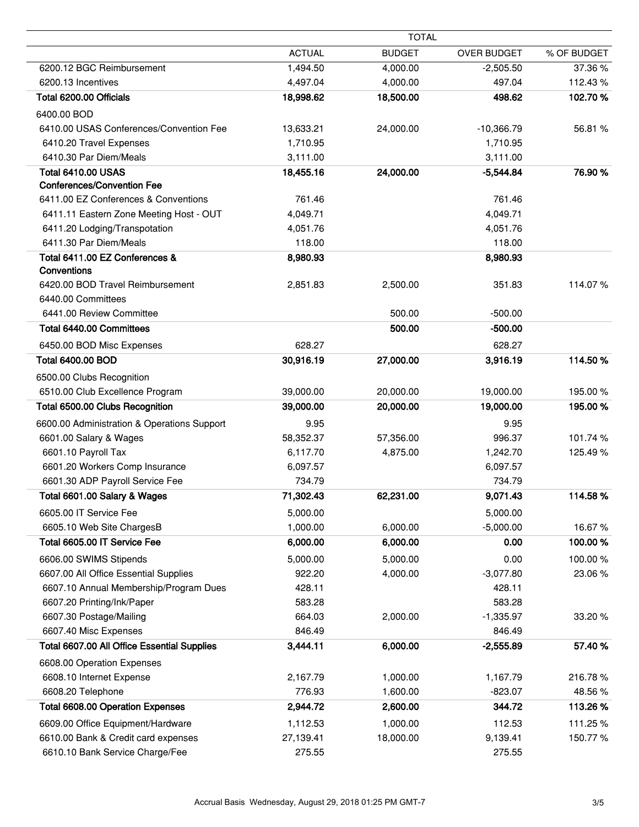| <b>ACTUAL</b><br><b>BUDGET</b><br><b>OVER BUDGET</b><br>6200.12 BGC Reimbursement<br>1,494.50<br>4,000.00<br>$-2,505.50$<br>6200.13 Incentives<br>4,497.04<br>497.04<br>4,000.00<br>Total 6200.00 Officials<br>18,500.00<br>18,998.62<br>498.62<br>6400.00 BOD<br>6410.00 USAS Conferences/Convention Fee<br>13,633.21<br>24,000.00<br>$-10,366.79$<br>6410.20 Travel Expenses<br>1,710.95<br>1,710.95<br>6410.30 Par Diem/Meals<br>3,111.00<br>3,111.00<br><b>Total 6410.00 USAS</b><br>18,455.16<br>24,000.00<br>$-5,544.84$<br><b>Conferences/Convention Fee</b><br>6411.00 EZ Conferences & Conventions<br>761.46<br>761.46<br>4,049.71<br>6411.11 Eastern Zone Meeting Host - OUT<br>4,049.71<br>6411.20 Lodging/Transpotation<br>4,051.76<br>4,051.76<br>6411.30 Par Diem/Meals<br>118.00<br>118.00<br>Total 6411.00 EZ Conferences &<br>8,980.93<br>8,980.93<br>Conventions<br>6420.00 BOD Travel Reimbursement<br>351.83<br>2,851.83<br>2,500.00<br>6440.00 Committees<br>6441.00 Review Committee<br>500.00<br>$-500.00$<br>500.00<br>Total 6440.00 Committees<br>$-500.00$<br>628.27<br>628.27<br>6450.00 BOD Misc Expenses<br><b>Total 6400.00 BOD</b><br>30,916.19<br>27,000.00<br>3,916.19<br>6500.00 Clubs Recognition<br>6510.00 Club Excellence Program<br>39,000.00<br>20,000.00<br>19,000.00<br>19,000.00<br>Total 6500.00 Clubs Recognition<br>39,000.00<br>20,000.00<br>6600.00 Administration & Operations Support<br>9.95<br>9.95<br>6601.00 Salary & Wages<br>58,352.37<br>57,356.00<br>996.37<br>6601.10 Payroll Tax<br>6,117.70<br>4,875.00<br>1,242.70<br>6601.20 Workers Comp Insurance<br>6,097.57<br>6,097.57<br>6601.30 ADP Payroll Service Fee<br>734.79<br>734.79<br>Total 6601.00 Salary & Wages<br>71,302.43<br>9,071.43<br>62,231.00<br>5,000.00<br>5,000.00<br>6605.00 IT Service Fee<br>6,000.00<br>6605.10 Web Site ChargesB<br>1,000.00<br>$-5,000.00$<br>Total 6605.00 IT Service Fee<br>0.00<br>6,000.00<br>6,000.00<br>6606.00 SWIMS Stipends<br>5,000.00<br>5,000.00<br>0.00<br>6607.00 All Office Essential Supplies<br>922.20<br>4,000.00<br>$-3,077.80$<br>6607.10 Annual Membership/Program Dues<br>428.11<br>428.11<br>583.28<br>583.28<br>6607.20 Printing/Ink/Paper<br>6607.30 Postage/Mailing<br>664.03<br>2,000.00<br>$-1,335.97$<br>6607.40 Misc Expenses<br>846.49<br>846.49<br>Total 6607.00 All Office Essential Supplies<br>3,444.11<br>6,000.00<br>$-2,555.89$<br>6608.00 Operation Expenses<br>2,167.79<br>1,000.00<br>1,167.79<br>6608.10 Internet Expense<br>6608.20 Telephone<br>776.93<br>1,600.00<br>$-823.07$<br><b>Total 6608.00 Operation Expenses</b><br>2,944.72<br>2,600.00<br>344.72<br>6609.00 Office Equipment/Hardware<br>1,112.53<br>1,000.00<br>112.53<br>6610.00 Bank & Credit card expenses<br>27,139.41<br>18,000.00<br>9,139.41<br>6610.10 Bank Service Charge/Fee<br>275.55<br>275.55 |  | <b>TOTAL</b> |             |
|------------------------------------------------------------------------------------------------------------------------------------------------------------------------------------------------------------------------------------------------------------------------------------------------------------------------------------------------------------------------------------------------------------------------------------------------------------------------------------------------------------------------------------------------------------------------------------------------------------------------------------------------------------------------------------------------------------------------------------------------------------------------------------------------------------------------------------------------------------------------------------------------------------------------------------------------------------------------------------------------------------------------------------------------------------------------------------------------------------------------------------------------------------------------------------------------------------------------------------------------------------------------------------------------------------------------------------------------------------------------------------------------------------------------------------------------------------------------------------------------------------------------------------------------------------------------------------------------------------------------------------------------------------------------------------------------------------------------------------------------------------------------------------------------------------------------------------------------------------------------------------------------------------------------------------------------------------------------------------------------------------------------------------------------------------------------------------------------------------------------------------------------------------------------------------------------------------------------------------------------------------------------------------------------------------------------------------------------------------------------------------------------------------------------------------------------------------------------------------------------------------------------------------------------------------------------------------------------------------------------------------------------------------------------------------------------------------------------------------------------------------------------------------------------------------------------------------------------------------------------|--|--------------|-------------|
|                                                                                                                                                                                                                                                                                                                                                                                                                                                                                                                                                                                                                                                                                                                                                                                                                                                                                                                                                                                                                                                                                                                                                                                                                                                                                                                                                                                                                                                                                                                                                                                                                                                                                                                                                                                                                                                                                                                                                                                                                                                                                                                                                                                                                                                                                                                                                                                                                                                                                                                                                                                                                                                                                                                                                                                                                                                                        |  |              | % OF BUDGET |
|                                                                                                                                                                                                                                                                                                                                                                                                                                                                                                                                                                                                                                                                                                                                                                                                                                                                                                                                                                                                                                                                                                                                                                                                                                                                                                                                                                                                                                                                                                                                                                                                                                                                                                                                                                                                                                                                                                                                                                                                                                                                                                                                                                                                                                                                                                                                                                                                                                                                                                                                                                                                                                                                                                                                                                                                                                                                        |  |              | 37.36%      |
|                                                                                                                                                                                                                                                                                                                                                                                                                                                                                                                                                                                                                                                                                                                                                                                                                                                                                                                                                                                                                                                                                                                                                                                                                                                                                                                                                                                                                                                                                                                                                                                                                                                                                                                                                                                                                                                                                                                                                                                                                                                                                                                                                                                                                                                                                                                                                                                                                                                                                                                                                                                                                                                                                                                                                                                                                                                                        |  |              | 112.43%     |
|                                                                                                                                                                                                                                                                                                                                                                                                                                                                                                                                                                                                                                                                                                                                                                                                                                                                                                                                                                                                                                                                                                                                                                                                                                                                                                                                                                                                                                                                                                                                                                                                                                                                                                                                                                                                                                                                                                                                                                                                                                                                                                                                                                                                                                                                                                                                                                                                                                                                                                                                                                                                                                                                                                                                                                                                                                                                        |  |              | 102.70%     |
|                                                                                                                                                                                                                                                                                                                                                                                                                                                                                                                                                                                                                                                                                                                                                                                                                                                                                                                                                                                                                                                                                                                                                                                                                                                                                                                                                                                                                                                                                                                                                                                                                                                                                                                                                                                                                                                                                                                                                                                                                                                                                                                                                                                                                                                                                                                                                                                                                                                                                                                                                                                                                                                                                                                                                                                                                                                                        |  |              |             |
|                                                                                                                                                                                                                                                                                                                                                                                                                                                                                                                                                                                                                                                                                                                                                                                                                                                                                                                                                                                                                                                                                                                                                                                                                                                                                                                                                                                                                                                                                                                                                                                                                                                                                                                                                                                                                                                                                                                                                                                                                                                                                                                                                                                                                                                                                                                                                                                                                                                                                                                                                                                                                                                                                                                                                                                                                                                                        |  |              | 56.81 %     |
|                                                                                                                                                                                                                                                                                                                                                                                                                                                                                                                                                                                                                                                                                                                                                                                                                                                                                                                                                                                                                                                                                                                                                                                                                                                                                                                                                                                                                                                                                                                                                                                                                                                                                                                                                                                                                                                                                                                                                                                                                                                                                                                                                                                                                                                                                                                                                                                                                                                                                                                                                                                                                                                                                                                                                                                                                                                                        |  |              |             |
|                                                                                                                                                                                                                                                                                                                                                                                                                                                                                                                                                                                                                                                                                                                                                                                                                                                                                                                                                                                                                                                                                                                                                                                                                                                                                                                                                                                                                                                                                                                                                                                                                                                                                                                                                                                                                                                                                                                                                                                                                                                                                                                                                                                                                                                                                                                                                                                                                                                                                                                                                                                                                                                                                                                                                                                                                                                                        |  |              |             |
|                                                                                                                                                                                                                                                                                                                                                                                                                                                                                                                                                                                                                                                                                                                                                                                                                                                                                                                                                                                                                                                                                                                                                                                                                                                                                                                                                                                                                                                                                                                                                                                                                                                                                                                                                                                                                                                                                                                                                                                                                                                                                                                                                                                                                                                                                                                                                                                                                                                                                                                                                                                                                                                                                                                                                                                                                                                                        |  |              | 76.90 %     |
|                                                                                                                                                                                                                                                                                                                                                                                                                                                                                                                                                                                                                                                                                                                                                                                                                                                                                                                                                                                                                                                                                                                                                                                                                                                                                                                                                                                                                                                                                                                                                                                                                                                                                                                                                                                                                                                                                                                                                                                                                                                                                                                                                                                                                                                                                                                                                                                                                                                                                                                                                                                                                                                                                                                                                                                                                                                                        |  |              |             |
|                                                                                                                                                                                                                                                                                                                                                                                                                                                                                                                                                                                                                                                                                                                                                                                                                                                                                                                                                                                                                                                                                                                                                                                                                                                                                                                                                                                                                                                                                                                                                                                                                                                                                                                                                                                                                                                                                                                                                                                                                                                                                                                                                                                                                                                                                                                                                                                                                                                                                                                                                                                                                                                                                                                                                                                                                                                                        |  |              |             |
|                                                                                                                                                                                                                                                                                                                                                                                                                                                                                                                                                                                                                                                                                                                                                                                                                                                                                                                                                                                                                                                                                                                                                                                                                                                                                                                                                                                                                                                                                                                                                                                                                                                                                                                                                                                                                                                                                                                                                                                                                                                                                                                                                                                                                                                                                                                                                                                                                                                                                                                                                                                                                                                                                                                                                                                                                                                                        |  |              |             |
|                                                                                                                                                                                                                                                                                                                                                                                                                                                                                                                                                                                                                                                                                                                                                                                                                                                                                                                                                                                                                                                                                                                                                                                                                                                                                                                                                                                                                                                                                                                                                                                                                                                                                                                                                                                                                                                                                                                                                                                                                                                                                                                                                                                                                                                                                                                                                                                                                                                                                                                                                                                                                                                                                                                                                                                                                                                                        |  |              |             |
|                                                                                                                                                                                                                                                                                                                                                                                                                                                                                                                                                                                                                                                                                                                                                                                                                                                                                                                                                                                                                                                                                                                                                                                                                                                                                                                                                                                                                                                                                                                                                                                                                                                                                                                                                                                                                                                                                                                                                                                                                                                                                                                                                                                                                                                                                                                                                                                                                                                                                                                                                                                                                                                                                                                                                                                                                                                                        |  |              |             |
|                                                                                                                                                                                                                                                                                                                                                                                                                                                                                                                                                                                                                                                                                                                                                                                                                                                                                                                                                                                                                                                                                                                                                                                                                                                                                                                                                                                                                                                                                                                                                                                                                                                                                                                                                                                                                                                                                                                                                                                                                                                                                                                                                                                                                                                                                                                                                                                                                                                                                                                                                                                                                                                                                                                                                                                                                                                                        |  |              |             |
|                                                                                                                                                                                                                                                                                                                                                                                                                                                                                                                                                                                                                                                                                                                                                                                                                                                                                                                                                                                                                                                                                                                                                                                                                                                                                                                                                                                                                                                                                                                                                                                                                                                                                                                                                                                                                                                                                                                                                                                                                                                                                                                                                                                                                                                                                                                                                                                                                                                                                                                                                                                                                                                                                                                                                                                                                                                                        |  |              | 114.07%     |
|                                                                                                                                                                                                                                                                                                                                                                                                                                                                                                                                                                                                                                                                                                                                                                                                                                                                                                                                                                                                                                                                                                                                                                                                                                                                                                                                                                                                                                                                                                                                                                                                                                                                                                                                                                                                                                                                                                                                                                                                                                                                                                                                                                                                                                                                                                                                                                                                                                                                                                                                                                                                                                                                                                                                                                                                                                                                        |  |              |             |
|                                                                                                                                                                                                                                                                                                                                                                                                                                                                                                                                                                                                                                                                                                                                                                                                                                                                                                                                                                                                                                                                                                                                                                                                                                                                                                                                                                                                                                                                                                                                                                                                                                                                                                                                                                                                                                                                                                                                                                                                                                                                                                                                                                                                                                                                                                                                                                                                                                                                                                                                                                                                                                                                                                                                                                                                                                                                        |  |              |             |
|                                                                                                                                                                                                                                                                                                                                                                                                                                                                                                                                                                                                                                                                                                                                                                                                                                                                                                                                                                                                                                                                                                                                                                                                                                                                                                                                                                                                                                                                                                                                                                                                                                                                                                                                                                                                                                                                                                                                                                                                                                                                                                                                                                                                                                                                                                                                                                                                                                                                                                                                                                                                                                                                                                                                                                                                                                                                        |  |              |             |
|                                                                                                                                                                                                                                                                                                                                                                                                                                                                                                                                                                                                                                                                                                                                                                                                                                                                                                                                                                                                                                                                                                                                                                                                                                                                                                                                                                                                                                                                                                                                                                                                                                                                                                                                                                                                                                                                                                                                                                                                                                                                                                                                                                                                                                                                                                                                                                                                                                                                                                                                                                                                                                                                                                                                                                                                                                                                        |  |              |             |
|                                                                                                                                                                                                                                                                                                                                                                                                                                                                                                                                                                                                                                                                                                                                                                                                                                                                                                                                                                                                                                                                                                                                                                                                                                                                                                                                                                                                                                                                                                                                                                                                                                                                                                                                                                                                                                                                                                                                                                                                                                                                                                                                                                                                                                                                                                                                                                                                                                                                                                                                                                                                                                                                                                                                                                                                                                                                        |  |              | 114.50%     |
|                                                                                                                                                                                                                                                                                                                                                                                                                                                                                                                                                                                                                                                                                                                                                                                                                                                                                                                                                                                                                                                                                                                                                                                                                                                                                                                                                                                                                                                                                                                                                                                                                                                                                                                                                                                                                                                                                                                                                                                                                                                                                                                                                                                                                                                                                                                                                                                                                                                                                                                                                                                                                                                                                                                                                                                                                                                                        |  |              |             |
|                                                                                                                                                                                                                                                                                                                                                                                                                                                                                                                                                                                                                                                                                                                                                                                                                                                                                                                                                                                                                                                                                                                                                                                                                                                                                                                                                                                                                                                                                                                                                                                                                                                                                                                                                                                                                                                                                                                                                                                                                                                                                                                                                                                                                                                                                                                                                                                                                                                                                                                                                                                                                                                                                                                                                                                                                                                                        |  |              | 195.00 %    |
|                                                                                                                                                                                                                                                                                                                                                                                                                                                                                                                                                                                                                                                                                                                                                                                                                                                                                                                                                                                                                                                                                                                                                                                                                                                                                                                                                                                                                                                                                                                                                                                                                                                                                                                                                                                                                                                                                                                                                                                                                                                                                                                                                                                                                                                                                                                                                                                                                                                                                                                                                                                                                                                                                                                                                                                                                                                                        |  |              | 195.00 %    |
|                                                                                                                                                                                                                                                                                                                                                                                                                                                                                                                                                                                                                                                                                                                                                                                                                                                                                                                                                                                                                                                                                                                                                                                                                                                                                                                                                                                                                                                                                                                                                                                                                                                                                                                                                                                                                                                                                                                                                                                                                                                                                                                                                                                                                                                                                                                                                                                                                                                                                                                                                                                                                                                                                                                                                                                                                                                                        |  |              |             |
|                                                                                                                                                                                                                                                                                                                                                                                                                                                                                                                                                                                                                                                                                                                                                                                                                                                                                                                                                                                                                                                                                                                                                                                                                                                                                                                                                                                                                                                                                                                                                                                                                                                                                                                                                                                                                                                                                                                                                                                                                                                                                                                                                                                                                                                                                                                                                                                                                                                                                                                                                                                                                                                                                                                                                                                                                                                                        |  |              | 101.74%     |
|                                                                                                                                                                                                                                                                                                                                                                                                                                                                                                                                                                                                                                                                                                                                                                                                                                                                                                                                                                                                                                                                                                                                                                                                                                                                                                                                                                                                                                                                                                                                                                                                                                                                                                                                                                                                                                                                                                                                                                                                                                                                                                                                                                                                                                                                                                                                                                                                                                                                                                                                                                                                                                                                                                                                                                                                                                                                        |  |              | 125.49%     |
|                                                                                                                                                                                                                                                                                                                                                                                                                                                                                                                                                                                                                                                                                                                                                                                                                                                                                                                                                                                                                                                                                                                                                                                                                                                                                                                                                                                                                                                                                                                                                                                                                                                                                                                                                                                                                                                                                                                                                                                                                                                                                                                                                                                                                                                                                                                                                                                                                                                                                                                                                                                                                                                                                                                                                                                                                                                                        |  |              |             |
|                                                                                                                                                                                                                                                                                                                                                                                                                                                                                                                                                                                                                                                                                                                                                                                                                                                                                                                                                                                                                                                                                                                                                                                                                                                                                                                                                                                                                                                                                                                                                                                                                                                                                                                                                                                                                                                                                                                                                                                                                                                                                                                                                                                                                                                                                                                                                                                                                                                                                                                                                                                                                                                                                                                                                                                                                                                                        |  |              |             |
|                                                                                                                                                                                                                                                                                                                                                                                                                                                                                                                                                                                                                                                                                                                                                                                                                                                                                                                                                                                                                                                                                                                                                                                                                                                                                                                                                                                                                                                                                                                                                                                                                                                                                                                                                                                                                                                                                                                                                                                                                                                                                                                                                                                                                                                                                                                                                                                                                                                                                                                                                                                                                                                                                                                                                                                                                                                                        |  |              | 114.58%     |
|                                                                                                                                                                                                                                                                                                                                                                                                                                                                                                                                                                                                                                                                                                                                                                                                                                                                                                                                                                                                                                                                                                                                                                                                                                                                                                                                                                                                                                                                                                                                                                                                                                                                                                                                                                                                                                                                                                                                                                                                                                                                                                                                                                                                                                                                                                                                                                                                                                                                                                                                                                                                                                                                                                                                                                                                                                                                        |  |              |             |
|                                                                                                                                                                                                                                                                                                                                                                                                                                                                                                                                                                                                                                                                                                                                                                                                                                                                                                                                                                                                                                                                                                                                                                                                                                                                                                                                                                                                                                                                                                                                                                                                                                                                                                                                                                                                                                                                                                                                                                                                                                                                                                                                                                                                                                                                                                                                                                                                                                                                                                                                                                                                                                                                                                                                                                                                                                                                        |  |              | 16.67%      |
|                                                                                                                                                                                                                                                                                                                                                                                                                                                                                                                                                                                                                                                                                                                                                                                                                                                                                                                                                                                                                                                                                                                                                                                                                                                                                                                                                                                                                                                                                                                                                                                                                                                                                                                                                                                                                                                                                                                                                                                                                                                                                                                                                                                                                                                                                                                                                                                                                                                                                                                                                                                                                                                                                                                                                                                                                                                                        |  |              | 100.00%     |
|                                                                                                                                                                                                                                                                                                                                                                                                                                                                                                                                                                                                                                                                                                                                                                                                                                                                                                                                                                                                                                                                                                                                                                                                                                                                                                                                                                                                                                                                                                                                                                                                                                                                                                                                                                                                                                                                                                                                                                                                                                                                                                                                                                                                                                                                                                                                                                                                                                                                                                                                                                                                                                                                                                                                                                                                                                                                        |  |              | 100.00%     |
|                                                                                                                                                                                                                                                                                                                                                                                                                                                                                                                                                                                                                                                                                                                                                                                                                                                                                                                                                                                                                                                                                                                                                                                                                                                                                                                                                                                                                                                                                                                                                                                                                                                                                                                                                                                                                                                                                                                                                                                                                                                                                                                                                                                                                                                                                                                                                                                                                                                                                                                                                                                                                                                                                                                                                                                                                                                                        |  |              | 23.06%      |
|                                                                                                                                                                                                                                                                                                                                                                                                                                                                                                                                                                                                                                                                                                                                                                                                                                                                                                                                                                                                                                                                                                                                                                                                                                                                                                                                                                                                                                                                                                                                                                                                                                                                                                                                                                                                                                                                                                                                                                                                                                                                                                                                                                                                                                                                                                                                                                                                                                                                                                                                                                                                                                                                                                                                                                                                                                                                        |  |              |             |
|                                                                                                                                                                                                                                                                                                                                                                                                                                                                                                                                                                                                                                                                                                                                                                                                                                                                                                                                                                                                                                                                                                                                                                                                                                                                                                                                                                                                                                                                                                                                                                                                                                                                                                                                                                                                                                                                                                                                                                                                                                                                                                                                                                                                                                                                                                                                                                                                                                                                                                                                                                                                                                                                                                                                                                                                                                                                        |  |              |             |
|                                                                                                                                                                                                                                                                                                                                                                                                                                                                                                                                                                                                                                                                                                                                                                                                                                                                                                                                                                                                                                                                                                                                                                                                                                                                                                                                                                                                                                                                                                                                                                                                                                                                                                                                                                                                                                                                                                                                                                                                                                                                                                                                                                                                                                                                                                                                                                                                                                                                                                                                                                                                                                                                                                                                                                                                                                                                        |  |              | 33.20 %     |
|                                                                                                                                                                                                                                                                                                                                                                                                                                                                                                                                                                                                                                                                                                                                                                                                                                                                                                                                                                                                                                                                                                                                                                                                                                                                                                                                                                                                                                                                                                                                                                                                                                                                                                                                                                                                                                                                                                                                                                                                                                                                                                                                                                                                                                                                                                                                                                                                                                                                                                                                                                                                                                                                                                                                                                                                                                                                        |  |              |             |
|                                                                                                                                                                                                                                                                                                                                                                                                                                                                                                                                                                                                                                                                                                                                                                                                                                                                                                                                                                                                                                                                                                                                                                                                                                                                                                                                                                                                                                                                                                                                                                                                                                                                                                                                                                                                                                                                                                                                                                                                                                                                                                                                                                                                                                                                                                                                                                                                                                                                                                                                                                                                                                                                                                                                                                                                                                                                        |  |              | 57.40%      |
|                                                                                                                                                                                                                                                                                                                                                                                                                                                                                                                                                                                                                                                                                                                                                                                                                                                                                                                                                                                                                                                                                                                                                                                                                                                                                                                                                                                                                                                                                                                                                                                                                                                                                                                                                                                                                                                                                                                                                                                                                                                                                                                                                                                                                                                                                                                                                                                                                                                                                                                                                                                                                                                                                                                                                                                                                                                                        |  |              |             |
|                                                                                                                                                                                                                                                                                                                                                                                                                                                                                                                                                                                                                                                                                                                                                                                                                                                                                                                                                                                                                                                                                                                                                                                                                                                                                                                                                                                                                                                                                                                                                                                                                                                                                                                                                                                                                                                                                                                                                                                                                                                                                                                                                                                                                                                                                                                                                                                                                                                                                                                                                                                                                                                                                                                                                                                                                                                                        |  |              | 216.78%     |
|                                                                                                                                                                                                                                                                                                                                                                                                                                                                                                                                                                                                                                                                                                                                                                                                                                                                                                                                                                                                                                                                                                                                                                                                                                                                                                                                                                                                                                                                                                                                                                                                                                                                                                                                                                                                                                                                                                                                                                                                                                                                                                                                                                                                                                                                                                                                                                                                                                                                                                                                                                                                                                                                                                                                                                                                                                                                        |  |              | 48.56%      |
|                                                                                                                                                                                                                                                                                                                                                                                                                                                                                                                                                                                                                                                                                                                                                                                                                                                                                                                                                                                                                                                                                                                                                                                                                                                                                                                                                                                                                                                                                                                                                                                                                                                                                                                                                                                                                                                                                                                                                                                                                                                                                                                                                                                                                                                                                                                                                                                                                                                                                                                                                                                                                                                                                                                                                                                                                                                                        |  |              | 113.26%     |
|                                                                                                                                                                                                                                                                                                                                                                                                                                                                                                                                                                                                                                                                                                                                                                                                                                                                                                                                                                                                                                                                                                                                                                                                                                                                                                                                                                                                                                                                                                                                                                                                                                                                                                                                                                                                                                                                                                                                                                                                                                                                                                                                                                                                                                                                                                                                                                                                                                                                                                                                                                                                                                                                                                                                                                                                                                                                        |  |              | 111.25%     |
|                                                                                                                                                                                                                                                                                                                                                                                                                                                                                                                                                                                                                                                                                                                                                                                                                                                                                                                                                                                                                                                                                                                                                                                                                                                                                                                                                                                                                                                                                                                                                                                                                                                                                                                                                                                                                                                                                                                                                                                                                                                                                                                                                                                                                                                                                                                                                                                                                                                                                                                                                                                                                                                                                                                                                                                                                                                                        |  |              | 150.77%     |
|                                                                                                                                                                                                                                                                                                                                                                                                                                                                                                                                                                                                                                                                                                                                                                                                                                                                                                                                                                                                                                                                                                                                                                                                                                                                                                                                                                                                                                                                                                                                                                                                                                                                                                                                                                                                                                                                                                                                                                                                                                                                                                                                                                                                                                                                                                                                                                                                                                                                                                                                                                                                                                                                                                                                                                                                                                                                        |  |              |             |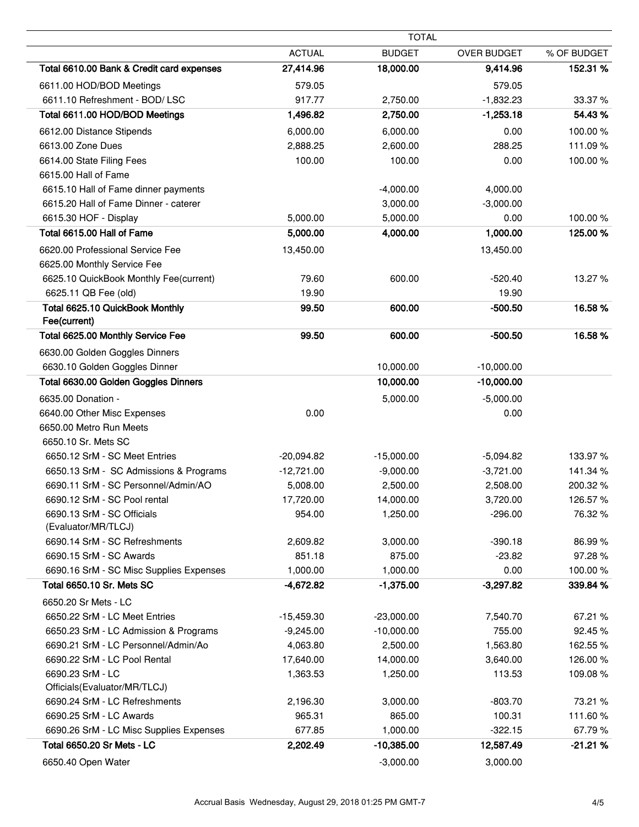| <b>TOTAL</b>                                      |               |               |                    |             |
|---------------------------------------------------|---------------|---------------|--------------------|-------------|
|                                                   | <b>ACTUAL</b> | <b>BUDGET</b> | <b>OVER BUDGET</b> | % OF BUDGET |
| Total 6610.00 Bank & Credit card expenses         | 27,414.96     | 18,000.00     | 9,414.96           | 152.31 %    |
| 6611.00 HOD/BOD Meetings                          | 579.05        |               | 579.05             |             |
| 6611.10 Refreshment - BOD/ LSC                    | 917.77        | 2,750.00      | $-1,832.23$        | 33.37%      |
| Total 6611.00 HOD/BOD Meetings                    | 1,496.82      | 2,750.00      | $-1,253.18$        | 54.43%      |
| 6612.00 Distance Stipends                         | 6,000.00      | 6,000.00      | 0.00               | 100.00%     |
| 6613.00 Zone Dues                                 | 2,888.25      | 2,600.00      | 288.25             | 111.09%     |
| 6614.00 State Filing Fees                         | 100.00        | 100.00        | 0.00               | 100.00%     |
| 6615.00 Hall of Fame                              |               |               |                    |             |
| 6615.10 Hall of Fame dinner payments              |               | $-4,000.00$   | 4,000.00           |             |
| 6615.20 Hall of Fame Dinner - caterer             |               | 3,000.00      | $-3,000.00$        |             |
| 6615.30 HOF - Display                             | 5,000.00      | 5,000.00      | 0.00               | 100.00%     |
| Total 6615.00 Hall of Fame                        | 5,000.00      | 4,000.00      | 1,000.00           | 125.00 %    |
| 6620.00 Professional Service Fee                  | 13,450.00     |               | 13,450.00          |             |
| 6625.00 Monthly Service Fee                       |               |               |                    |             |
| 6625.10 QuickBook Monthly Fee(current)            | 79.60         | 600.00        | $-520.40$          | 13.27 %     |
| 6625.11 QB Fee (old)                              | 19.90         |               | 19.90              |             |
| Total 6625.10 QuickBook Monthly                   | 99.50         | 600.00        | $-500.50$          | 16.58%      |
| Fee(current)                                      |               |               |                    |             |
| Total 6625.00 Monthly Service Fee                 | 99.50         | 600.00        | $-500.50$          | 16.58%      |
| 6630.00 Golden Goggles Dinners                    |               |               |                    |             |
| 6630.10 Golden Goggles Dinner                     |               | 10,000.00     | $-10,000.00$       |             |
| Total 6630.00 Golden Goggles Dinners              |               | 10,000.00     | $-10,000.00$       |             |
| 6635.00 Donation -                                |               | 5,000.00      | $-5,000.00$        |             |
| 6640.00 Other Misc Expenses                       | 0.00          |               | 0.00               |             |
| 6650.00 Metro Run Meets                           |               |               |                    |             |
| 6650.10 Sr. Mets SC                               |               |               |                    |             |
| 6650.12 SrM - SC Meet Entries                     | $-20,094.82$  | $-15,000.00$  | $-5,094.82$        | 133.97%     |
| 6650.13 SrM - SC Admissions & Programs            | $-12,721.00$  | $-9,000.00$   | $-3,721.00$        | 141.34 %    |
| 6690.11 SrM - SC Personnel/Admin/AO               | 5,008.00      | 2,500.00      | 2,508.00           | 200.32%     |
| 6690.12 SrM - SC Pool rental                      | 17,720.00     | 14,000.00     | 3,720.00           | 126.57%     |
| 6690.13 SrM - SC Officials<br>(Evaluator/MR/TLCJ) | 954.00        | 1,250.00      | $-296.00$          | 76.32 %     |
| 6690.14 SrM - SC Refreshments                     | 2,609.82      | 3,000.00      | $-390.18$          | 86.99%      |
| 6690.15 SrM - SC Awards                           | 851.18        | 875.00        | $-23.82$           | 97.28%      |
| 6690.16 SrM - SC Misc Supplies Expenses           | 1,000.00      | 1,000.00      | 0.00               | 100.00%     |
| Total 6650.10 Sr. Mets SC                         | $-4,672.82$   | $-1,375.00$   | $-3,297.82$        | 339.84 %    |
| 6650.20 Sr Mets - LC                              |               |               |                    |             |
| 6650.22 SrM - LC Meet Entries                     | $-15,459.30$  | $-23,000.00$  | 7,540.70           | 67.21 %     |
| 6650.23 SrM - LC Admission & Programs             | $-9,245.00$   | $-10,000.00$  | 755.00             | 92.45%      |
| 6690.21 SrM - LC Personnel/Admin/Ao               | 4,063.80      | 2,500.00      | 1,563.80           | 162.55 %    |
| 6690.22 SrM - LC Pool Rental                      | 17,640.00     | 14,000.00     | 3,640.00           | 126.00%     |
| 6690.23 SrM - LC                                  | 1,363.53      | 1,250.00      | 113.53             | 109.08%     |
| Officials(Evaluator/MR/TLCJ)                      |               |               |                    |             |
| 6690.24 SrM - LC Refreshments                     | 2,196.30      | 3,000.00      | $-803.70$          | 73.21 %     |
| 6690.25 SrM - LC Awards                           | 965.31        | 865.00        | 100.31             | 111.60%     |
| 6690.26 SrM - LC Misc Supplies Expenses           | 677.85        | 1,000.00      | $-322.15$          | 67.79%      |
| Total 6650.20 Sr Mets - LC                        | 2,202.49      | $-10,385.00$  | 12,587.49          | $-21.21%$   |
| 6650.40 Open Water                                |               | $-3,000.00$   | 3,000.00           |             |

÷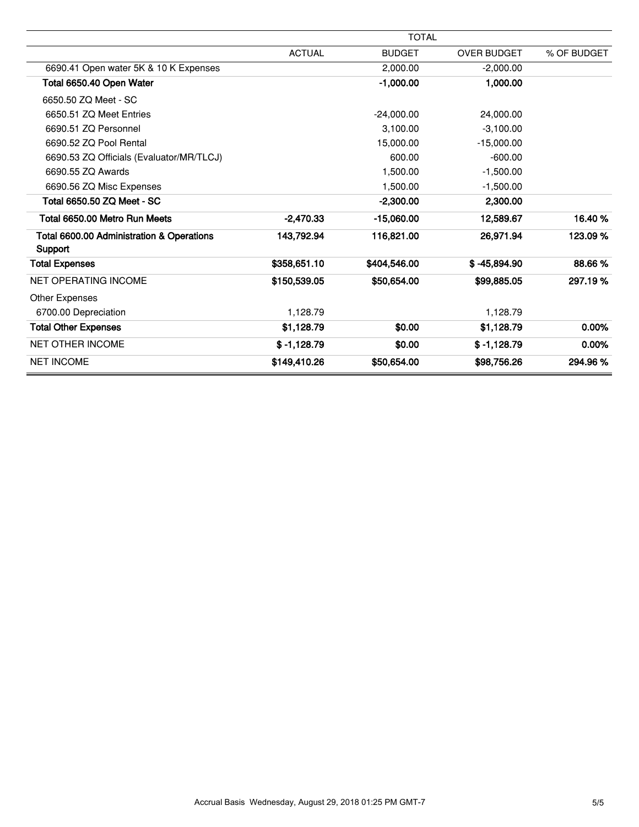|                                                      |               | <b>TOTAL</b>  |                    |             |
|------------------------------------------------------|---------------|---------------|--------------------|-------------|
|                                                      | <b>ACTUAL</b> | <b>BUDGET</b> | <b>OVER BUDGET</b> | % OF BUDGET |
| 6690.41 Open water 5K & 10 K Expenses                |               | 2,000.00      | $-2,000.00$        |             |
| Total 6650.40 Open Water                             |               | $-1,000.00$   | 1,000.00           |             |
| 6650.50 ZQ Meet - SC                                 |               |               |                    |             |
| 6650.51 ZQ Meet Entries                              |               | $-24.000.00$  | 24.000.00          |             |
| 6690.51 ZQ Personnel                                 |               | 3,100.00      | $-3,100.00$        |             |
| 6690.52 ZQ Pool Rental                               |               | 15,000,00     | $-15,000.00$       |             |
| 6690.53 ZQ Officials (Evaluator/MR/TLCJ)             |               | 600.00        | $-600.00$          |             |
| 6690.55 ZQ Awards                                    |               | 1,500.00      | $-1,500.00$        |             |
| 6690.56 ZQ Misc Expenses                             |               | 1,500.00      | $-1,500.00$        |             |
| Total 6650.50 ZQ Meet - SC                           |               | -2.300.00     | 2,300.00           |             |
| Total 6650.00 Metro Run Meets                        | $-2.470.33$   | $-15,060.00$  | 12,589.67          | 16.40%      |
| Total 6600.00 Administration & Operations<br>Support | 143,792.94    | 116,821.00    | 26,971.94          | 123.09%     |
| <b>Total Expenses</b>                                | \$358,651.10  | \$404,546.00  | $$ -45,894.90$     | 88.66%      |
| <b>NET OPERATING INCOME</b>                          | \$150,539.05  | \$50,654.00   | \$99,885.05        | 297.19 %    |
| <b>Other Expenses</b>                                |               |               |                    |             |
| 6700.00 Depreciation                                 | 1,128.79      |               | 1,128.79           |             |
| <b>Total Other Expenses</b>                          | \$1,128.79    | \$0.00        | \$1,128.79         | 0.00%       |
| <b>NET OTHER INCOME</b>                              | $$ -1,128.79$ | \$0.00        | $$ -1,128.79$      | 0.00%       |
| <b>NET INCOME</b>                                    | \$149,410.26  | \$50,654.00   | \$98,756.26        | 294.96%     |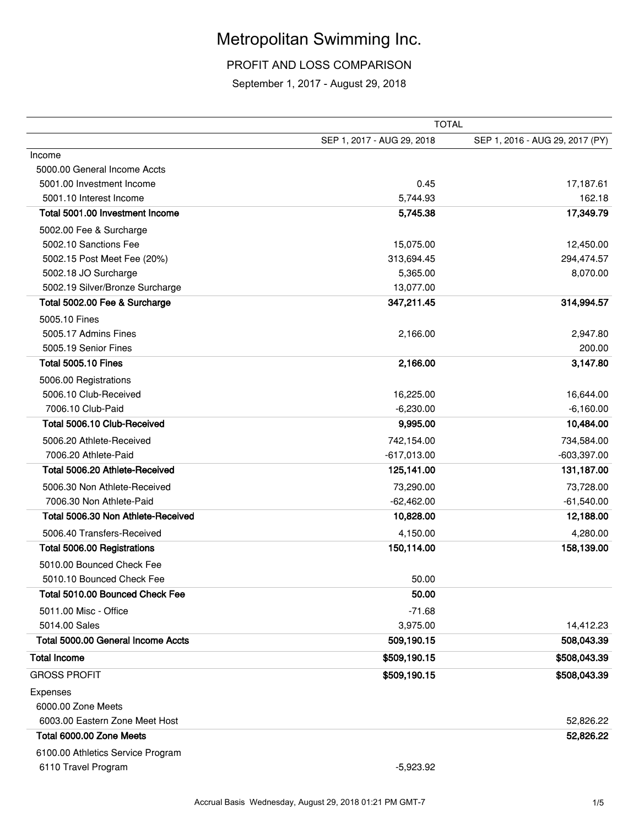### Metropolitan Swimming Inc.

PROFIT AND LOSS COMPARISON

September 1, 2017 - August 29, 2018

|                                    | <b>TOTAL</b>               |                                 |  |  |
|------------------------------------|----------------------------|---------------------------------|--|--|
|                                    | SEP 1, 2017 - AUG 29, 2018 | SEP 1, 2016 - AUG 29, 2017 (PY) |  |  |
| Income                             |                            |                                 |  |  |
| 5000.00 General Income Accts       |                            |                                 |  |  |
| 5001.00 Investment Income          | 0.45                       | 17,187.61                       |  |  |
| 5001.10 Interest Income            | 5,744.93                   | 162.18                          |  |  |
| Total 5001.00 Investment Income    | 5,745.38                   | 17,349.79                       |  |  |
| 5002.00 Fee & Surcharge            |                            |                                 |  |  |
| 5002.10 Sanctions Fee              | 15,075.00                  | 12,450.00                       |  |  |
| 5002.15 Post Meet Fee (20%)        | 313,694.45                 | 294,474.57                      |  |  |
| 5002.18 JO Surcharge               | 5,365.00                   | 8,070.00                        |  |  |
| 5002.19 Silver/Bronze Surcharge    | 13,077.00                  |                                 |  |  |
| Total 5002.00 Fee & Surcharge      | 347,211.45                 | 314,994.57                      |  |  |
| 5005.10 Fines                      |                            |                                 |  |  |
| 5005.17 Admins Fines               | 2,166.00                   | 2,947.80                        |  |  |
| 5005.19 Senior Fines               |                            | 200.00                          |  |  |
| <b>Total 5005.10 Fines</b>         | 2,166.00                   | 3,147.80                        |  |  |
| 5006.00 Registrations              |                            |                                 |  |  |
| 5006.10 Club-Received              | 16,225.00                  | 16,644.00                       |  |  |
| 7006.10 Club-Paid                  | $-6,230.00$                | $-6,160.00$                     |  |  |
| Total 5006.10 Club-Received        | 9,995.00                   | 10,484.00                       |  |  |
| 5006.20 Athlete-Received           | 742,154.00                 | 734,584.00                      |  |  |
| 7006.20 Athlete-Paid               | $-617,013.00$              | $-603,397.00$                   |  |  |
| Total 5006.20 Athlete-Received     | 125,141.00                 | 131,187.00                      |  |  |
| 5006.30 Non Athlete-Received       | 73,290.00                  | 73,728.00                       |  |  |
| 7006.30 Non Athlete-Paid           | $-62,462.00$               | $-61,540.00$                    |  |  |
| Total 5006.30 Non Athlete-Received | 10,828.00                  | 12,188.00                       |  |  |
| 5006.40 Transfers-Received         | 4,150.00                   | 4,280.00                        |  |  |
| Total 5006.00 Registrations        | 150,114.00                 | 158,139.00                      |  |  |
| 5010.00 Bounced Check Fee          |                            |                                 |  |  |
| 5010.10 Bounced Check Fee          | 50.00                      |                                 |  |  |
| Total 5010.00 Bounced Check Fee    | 50.00                      |                                 |  |  |
| 5011.00 Misc - Office              | $-71.68$                   |                                 |  |  |
| 5014.00 Sales                      | 3,975.00                   | 14,412.23                       |  |  |
| Total 5000.00 General Income Accts | 509,190.15                 | 508,043.39                      |  |  |
| <b>Total Income</b>                |                            |                                 |  |  |
|                                    | \$509,190.15               | \$508,043.39                    |  |  |
| <b>GROSS PROFIT</b>                | \$509,190.15               | \$508,043.39                    |  |  |
| Expenses                           |                            |                                 |  |  |
| 6000.00 Zone Meets                 |                            |                                 |  |  |
| 6003.00 Eastern Zone Meet Host     |                            | 52,826.22                       |  |  |
| Total 6000.00 Zone Meets           |                            | 52,826.22                       |  |  |
| 6100.00 Athletics Service Program  |                            |                                 |  |  |
| 6110 Travel Program                | $-5,923.92$                |                                 |  |  |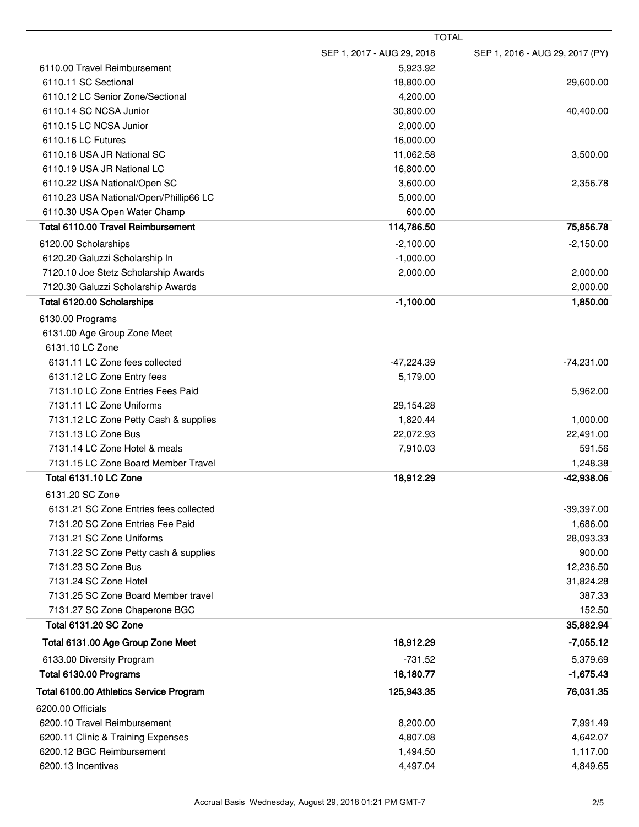| <b>TOTAL</b>                            |                            |                                 |  |
|-----------------------------------------|----------------------------|---------------------------------|--|
|                                         | SEP 1, 2017 - AUG 29, 2018 | SEP 1, 2016 - AUG 29, 2017 (PY) |  |
| 6110.00 Travel Reimbursement            | 5,923.92                   |                                 |  |
| 6110.11 SC Sectional                    | 18,800.00                  | 29,600.00                       |  |
| 6110.12 LC Senior Zone/Sectional        | 4,200.00                   |                                 |  |
| 6110.14 SC NCSA Junior                  | 30,800.00                  | 40,400.00                       |  |
| 6110.15 LC NCSA Junior                  | 2,000.00                   |                                 |  |
| 6110.16 LC Futures                      | 16,000.00                  |                                 |  |
| 6110.18 USA JR National SC              | 11,062.58                  | 3,500.00                        |  |
| 6110.19 USA JR National LC              | 16,800.00                  |                                 |  |
| 6110.22 USA National/Open SC            | 3,600.00                   | 2,356.78                        |  |
| 6110.23 USA National/Open/Phillip66 LC  | 5,000.00                   |                                 |  |
| 6110.30 USA Open Water Champ            | 600.00                     |                                 |  |
| Total 6110.00 Travel Reimbursement      | 114,786.50                 | 75,856.78                       |  |
| 6120.00 Scholarships                    | $-2,100.00$                | $-2,150.00$                     |  |
| 6120.20 Galuzzi Scholarship In          | $-1,000.00$                |                                 |  |
| 7120.10 Joe Stetz Scholarship Awards    | 2,000.00                   | 2,000.00                        |  |
| 7120.30 Galuzzi Scholarship Awards      |                            | 2,000.00                        |  |
| Total 6120.00 Scholarships              | $-1,100.00$                | 1,850.00                        |  |
| 6130.00 Programs                        |                            |                                 |  |
| 6131.00 Age Group Zone Meet             |                            |                                 |  |
| 6131.10 LC Zone                         |                            |                                 |  |
| 6131.11 LC Zone fees collected          | $-47,224.39$               | $-74,231.00$                    |  |
| 6131.12 LC Zone Entry fees              | 5,179.00                   |                                 |  |
| 7131.10 LC Zone Entries Fees Paid       |                            | 5,962.00                        |  |
| 7131.11 LC Zone Uniforms                | 29,154.28                  |                                 |  |
| 7131.12 LC Zone Petty Cash & supplies   | 1,820.44                   | 1,000.00                        |  |
| 7131.13 LC Zone Bus                     | 22,072.93                  | 22,491.00                       |  |
| 7131.14 LC Zone Hotel & meals           | 7,910.03                   | 591.56                          |  |
| 7131.15 LC Zone Board Member Travel     |                            | 1,248.38                        |  |
| Total 6131.10 LC Zone                   | 18,912.29                  | -42,938.06                      |  |
| 6131.20 SC Zone                         |                            |                                 |  |
| 6131.21 SC Zone Entries fees collected  |                            | $-39,397.00$                    |  |
| 7131.20 SC Zone Entries Fee Paid        |                            | 1,686.00                        |  |
| 7131.21 SC Zone Uniforms                |                            | 28,093.33                       |  |
| 7131.22 SC Zone Petty cash & supplies   |                            | 900.00                          |  |
| 7131.23 SC Zone Bus                     |                            | 12,236.50                       |  |
| 7131.24 SC Zone Hotel                   |                            | 31,824.28                       |  |
| 7131.25 SC Zone Board Member travel     |                            | 387.33                          |  |
| 7131.27 SC Zone Chaperone BGC           |                            | 152.50                          |  |
| <b>Total 6131.20 SC Zone</b>            |                            | 35,882.94                       |  |
| Total 6131.00 Age Group Zone Meet       | 18,912.29                  | $-7,055.12$                     |  |
|                                         |                            |                                 |  |
| 6133.00 Diversity Program               | $-731.52$                  | 5,379.69                        |  |
| Total 6130.00 Programs                  | 18,180.77                  | $-1,675.43$                     |  |
| Total 6100.00 Athletics Service Program | 125,943.35                 | 76,031.35                       |  |
| 6200.00 Officials                       |                            |                                 |  |
| 6200.10 Travel Reimbursement            | 8,200.00                   | 7,991.49                        |  |
| 6200.11 Clinic & Training Expenses      | 4,807.08                   | 4,642.07                        |  |
| 6200.12 BGC Reimbursement               | 1,494.50                   | 1,117.00                        |  |
| 6200.13 Incentives                      | 4,497.04                   | 4,849.65                        |  |

 $\overline{a}$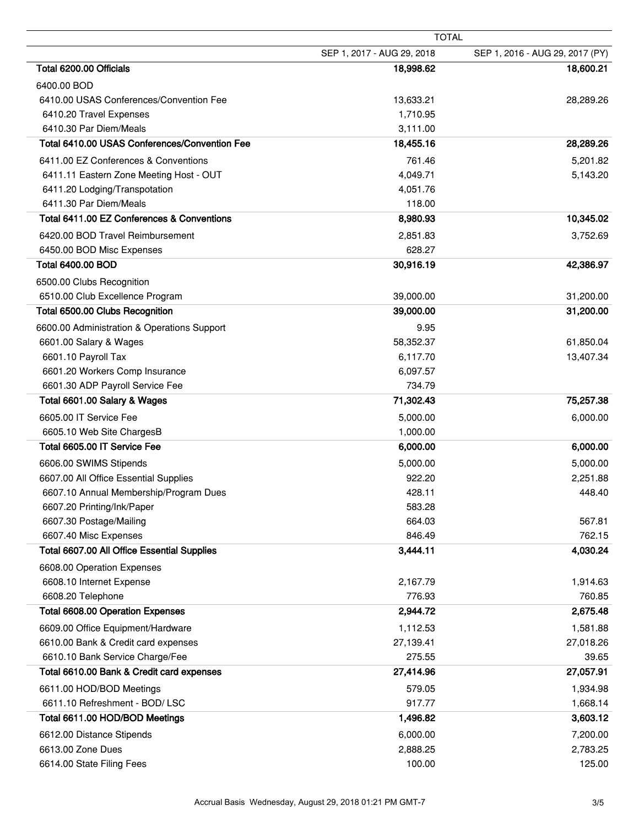| <b>TOTAL</b>                                  |                            |                                 |
|-----------------------------------------------|----------------------------|---------------------------------|
|                                               | SEP 1, 2017 - AUG 29, 2018 | SEP 1, 2016 - AUG 29, 2017 (PY) |
| Total 6200.00 Officials                       | 18,998.62                  | 18,600.21                       |
| 6400.00 BOD                                   |                            |                                 |
| 6410.00 USAS Conferences/Convention Fee       | 13,633.21                  | 28,289.26                       |
| 6410.20 Travel Expenses                       | 1,710.95                   |                                 |
| 6410.30 Par Diem/Meals                        | 3,111.00                   |                                 |
| Total 6410.00 USAS Conferences/Convention Fee | 18,455.16                  | 28,289.26                       |
| 6411.00 EZ Conferences & Conventions          | 761.46                     | 5,201.82                        |
| 6411.11 Eastern Zone Meeting Host - OUT       | 4,049.71                   | 5,143.20                        |
| 6411.20 Lodging/Transpotation                 | 4,051.76                   |                                 |
| 6411.30 Par Diem/Meals                        | 118.00                     |                                 |
| Total 6411.00 EZ Conferences & Conventions    | 8,980.93                   | 10,345.02                       |
| 6420.00 BOD Travel Reimbursement              | 2,851.83                   | 3,752.69                        |
| 6450.00 BOD Misc Expenses                     | 628.27                     |                                 |
| <b>Total 6400.00 BOD</b>                      | 30,916.19                  | 42,386.97                       |
| 6500.00 Clubs Recognition                     |                            |                                 |
| 6510.00 Club Excellence Program               | 39,000.00                  | 31,200.00                       |
| Total 6500.00 Clubs Recognition               | 39,000.00                  | 31,200.00                       |
| 6600.00 Administration & Operations Support   | 9.95                       |                                 |
| 6601.00 Salary & Wages                        | 58,352.37                  | 61,850.04                       |
| 6601.10 Payroll Tax                           | 6,117.70                   | 13,407.34                       |
| 6601.20 Workers Comp Insurance                | 6,097.57                   |                                 |
| 6601.30 ADP Payroll Service Fee               | 734.79                     |                                 |
| Total 6601.00 Salary & Wages                  | 71,302.43                  | 75,257.38                       |
| 6605.00 IT Service Fee                        | 5,000.00                   | 6,000.00                        |
| 6605.10 Web Site ChargesB                     | 1,000.00                   |                                 |
| Total 6605.00 IT Service Fee                  | 6,000.00                   | 6,000.00                        |
| 6606.00 SWIMS Stipends                        | 5,000.00                   | 5,000.00                        |
| 6607.00 All Office Essential Supplies         | 922.20                     | 2,251.88                        |
| 6607.10 Annual Membership/Program Dues        | 428.11                     | 448.40                          |
| 6607.20 Printing/Ink/Paper                    | 583.28                     |                                 |
| 6607.30 Postage/Mailing                       | 664.03                     | 567.81                          |
| 6607.40 Misc Expenses                         | 846.49                     | 762.15                          |
| Total 6607.00 All Office Essential Supplies   | 3,444.11                   | 4,030.24                        |
| 6608.00 Operation Expenses                    |                            |                                 |
| 6608.10 Internet Expense                      | 2,167.79                   | 1,914.63                        |
| 6608.20 Telephone                             | 776.93                     | 760.85                          |
| <b>Total 6608.00 Operation Expenses</b>       | 2,944.72                   | 2,675.48                        |
| 6609.00 Office Equipment/Hardware             | 1,112.53                   | 1,581.88                        |
| 6610.00 Bank & Credit card expenses           | 27,139.41                  | 27,018.26                       |
| 6610.10 Bank Service Charge/Fee               | 275.55                     | 39.65                           |
| Total 6610.00 Bank & Credit card expenses     | 27,414.96                  | 27,057.91                       |
| 6611.00 HOD/BOD Meetings                      | 579.05                     | 1,934.98                        |
| 6611.10 Refreshment - BOD/LSC                 | 917.77                     | 1,668.14                        |
| Total 6611.00 HOD/BOD Meetings                | 1,496.82                   | 3,603.12                        |
| 6612.00 Distance Stipends                     | 6,000.00                   | 7,200.00                        |
| 6613.00 Zone Dues                             | 2,888.25                   | 2,783.25                        |
| 6614.00 State Filing Fees                     | 100.00                     | 125.00                          |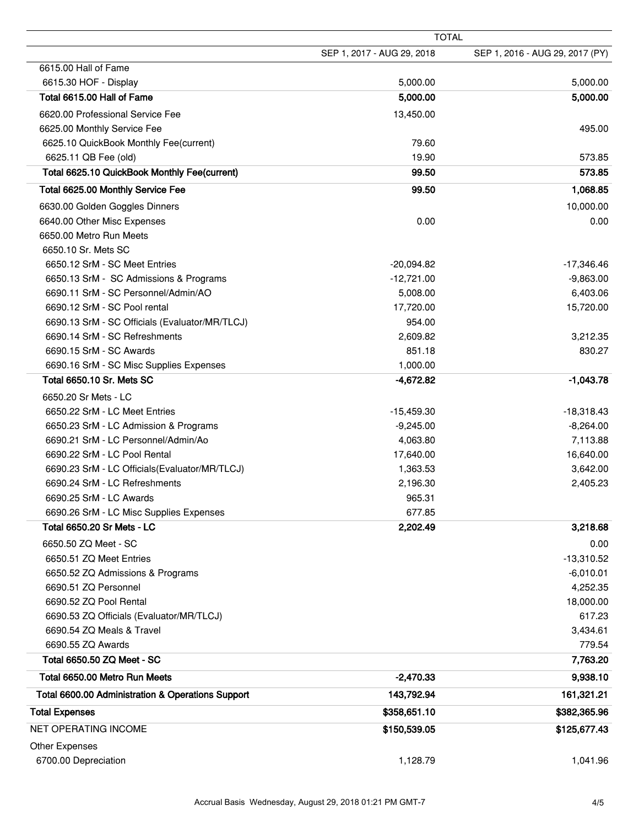|                                                   | <b>TOTAL</b>               |                                 |  |
|---------------------------------------------------|----------------------------|---------------------------------|--|
|                                                   | SEP 1, 2017 - AUG 29, 2018 | SEP 1, 2016 - AUG 29, 2017 (PY) |  |
| 6615.00 Hall of Fame                              |                            |                                 |  |
| 6615.30 HOF - Display                             | 5,000.00                   | 5,000.00                        |  |
| Total 6615.00 Hall of Fame                        | 5,000.00                   | 5,000.00                        |  |
| 6620.00 Professional Service Fee                  | 13,450.00                  |                                 |  |
| 6625.00 Monthly Service Fee                       |                            | 495.00                          |  |
| 6625.10 QuickBook Monthly Fee(current)            | 79.60                      |                                 |  |
| 6625.11 QB Fee (old)                              | 19.90                      | 573.85                          |  |
| Total 6625.10 QuickBook Monthly Fee(current)      | 99.50                      | 573.85                          |  |
| Total 6625.00 Monthly Service Fee                 | 99.50                      | 1,068.85                        |  |
| 6630.00 Golden Goggles Dinners                    |                            | 10,000.00                       |  |
| 6640.00 Other Misc Expenses                       | 0.00                       | 0.00                            |  |
| 6650.00 Metro Run Meets                           |                            |                                 |  |
| 6650.10 Sr. Mets SC                               |                            |                                 |  |
| 6650.12 SrM - SC Meet Entries                     | $-20,094.82$               | $-17,346.46$                    |  |
| 6650.13 SrM - SC Admissions & Programs            | $-12,721.00$               | $-9,863.00$                     |  |
| 6690.11 SrM - SC Personnel/Admin/AO               | 5,008.00                   | 6,403.06                        |  |
| 6690.12 SrM - SC Pool rental                      | 17,720.00                  | 15,720.00                       |  |
| 6690.13 SrM - SC Officials (Evaluator/MR/TLCJ)    | 954.00                     |                                 |  |
| 6690.14 SrM - SC Refreshments                     | 2,609.82                   | 3,212.35                        |  |
| 6690.15 SrM - SC Awards                           | 851.18                     | 830.27                          |  |
| 6690.16 SrM - SC Misc Supplies Expenses           | 1,000.00                   |                                 |  |
| Total 6650.10 Sr. Mets SC                         | $-4,672.82$                | $-1,043.78$                     |  |
| 6650.20 Sr Mets - LC                              |                            |                                 |  |
| 6650.22 SrM - LC Meet Entries                     | $-15,459.30$               | $-18,318.43$                    |  |
| 6650.23 SrM - LC Admission & Programs             | $-9,245.00$                | $-8,264.00$                     |  |
| 6690.21 SrM - LC Personnel/Admin/Ao               | 4,063.80                   | 7,113.88                        |  |
| 6690.22 SrM - LC Pool Rental                      | 17,640.00                  | 16,640.00                       |  |
| 6690.23 SrM - LC Officials (Evaluator/MR/TLCJ)    | 1,363.53                   | 3,642.00                        |  |
| 6690.24 SrM - LC Refreshments                     | 2,196.30                   | 2,405.23                        |  |
| 6690.25 SrM - LC Awards                           | 965.31                     |                                 |  |
| 6690.26 SrM - LC Misc Supplies Expenses           | 677.85                     |                                 |  |
| <b>Total 6650.20 Sr Mets - LC</b>                 | 2,202.49                   | 3,218.68                        |  |
| 6650.50 ZQ Meet - SC                              |                            | 0.00                            |  |
| 6650.51 ZQ Meet Entries                           |                            | $-13,310.52$                    |  |
| 6650.52 ZQ Admissions & Programs                  |                            | $-6,010.01$                     |  |
| 6690.51 ZQ Personnel                              |                            | 4,252.35                        |  |
| 6690.52 ZQ Pool Rental                            |                            | 18,000.00                       |  |
| 6690.53 ZQ Officials (Evaluator/MR/TLCJ)          |                            | 617.23                          |  |
| 6690.54 ZQ Meals & Travel                         |                            | 3,434.61                        |  |
| 6690.55 ZQ Awards                                 |                            | 779.54                          |  |
| Total 6650.50 ZQ Meet - SC                        |                            | 7,763.20                        |  |
| Total 6650.00 Metro Run Meets                     | $-2,470.33$                | 9,938.10                        |  |
| Total 6600.00 Administration & Operations Support | 143,792.94                 | 161,321.21                      |  |
| <b>Total Expenses</b>                             | \$358,651.10               | \$382,365.96                    |  |
| <b>NET OPERATING INCOME</b>                       | \$150,539.05               | \$125,677.43                    |  |
| <b>Other Expenses</b>                             |                            |                                 |  |
| 6700.00 Depreciation                              | 1,128.79                   | 1,041.96                        |  |